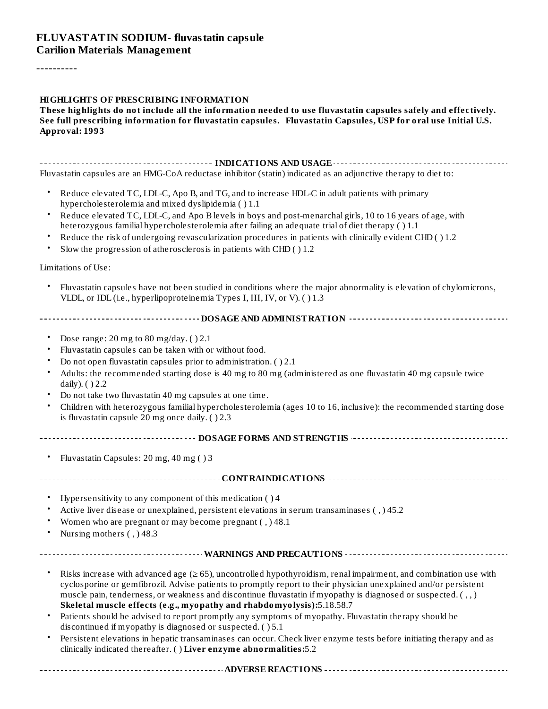### **FLUVASTATIN SODIUM- fluvastatin capsule Carilion Materials Management**

----------

#### **HIGHLIGHTS OF PRESCRIBING INFORMATION**

#### **These highlights do not include all the information needed to use fluvastatin capsules safely and effectively. See full prescribing information for fluvastatin capsules. Fluvastatin Capsules, USP for oral use Initial U.S. Approval: 1993**

**INDICATIONS AND USAGE INDICATIONS AND USAGE** *CONSIDERATIONS* **AND USAGE** *AND* **USAGE** *AND* **USAGE** *AND* Fluvastatin capsules are an HMG-CoA reductase inhibitor (statin) indicated as an adjunctive therapy to diet to:

- Reduce elevated TC, LDL-C, Apo B, and TG, and to increase HDL-C in adult patients with primary hypercholesterolemia and mixed dyslipidemia ( ) 1.1
- Reduce elevated TC, LDL-C, and Apo B levels in boys and post-menarchal girls, 10 to 16 years of age, with heterozygous familial hypercholesterolemia after failing an adequate trial of diet therapy ( ) 1.1
- Reduce the risk of undergoing revascularization procedures in patients with clinically evident CHD ( ) 1.2
- Slow the progression of atherosclerosis in patients with CHD ( ) 1.2

Limitations of Use:

- Fluvastatin capsules have not been studied in conditions where the major abnormality is elevation of chylomicrons, VLDL, or IDL (i.e., hyperlipoproteinemia Types I, III, IV, or V). ( ) 1.3
- **DOSAGE AND ADMINISTRATION**
	- Dose range: 20 mg to 80 mg/day. ( ) 2.1
	- Fluvastatin capsules can be taken with or without food.
	- Do not open fluvastatin capsules prior to administration. ( ) 2.1
	- Adults: the recommended starting dose is 40 mg to 80 mg (administered as one fluvastatin 40 mg capsule twice daily). ( ) 2.2
	- Do not take two fluvastatin 40 mg capsules at one time.
	- Children with heterozygous familial hypercholesterolemia (ages 10 to 16, inclusive): the recommended starting dose is fluvastatin capsule 20 mg once daily. ( ) 2.3
- **DOSAGE FORMS AND STRENGTHS**
	-

• Fluvastatin Capsules: 20 mg, 40 mg ( ) 3

#### **CONTRAINDICATIONS**

- Hypersensitivity to any component of this medication ( ) 4
- Active liver disease or unexplained, persistent elevations in serum transaminases ( , ) 45.2
- Women who are pregnant or may become pregnant ( , ) 48.1
- Nursing mothers ( , ) 48.3
- 
- **WARNINGS AND PRECAUTIONS**
	- Risks increase with advanced age ( $\geq 65$ ), uncontrolled hypothyroidism, renal impairment, and combination use with cyclosporine or gemfibrozil. Advise patients to promptly report to their physician unexplained and/or persistent muscle pain, tenderness, or weakness and discontinue fluvastatin if myopathy is diagnosed or suspected. ( , , ) **Skeletal muscle effects (e.g., myopathy and rhabdomyolysis):**5.18.58.7
	- Patients should be advised to report promptly any symptoms of myopathy. Fluvastatin therapy should be discontinued if myopathy is diagnosed or suspected. ( ) 5.1
	- Persistent elevations in hepatic transaminases can occur. Check liver enzyme tests before initiating therapy and as clinically indicated thereafter. ( ) **Liver enzyme abnormalities:**5.2

**ADVERSE REACTIONS**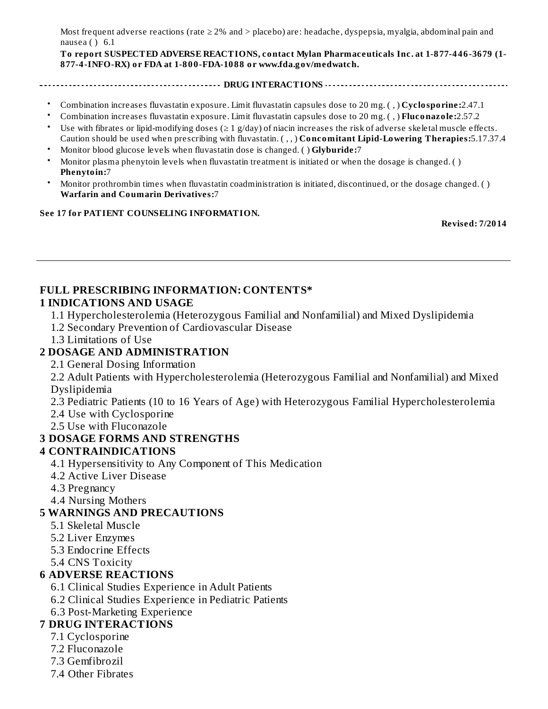Most frequent adverse reactions (rate ≥ 2% and > placebo) are: headache, dyspepsia, myalgia, abdominal pain and nausea ( ) 6.1

**To report SUSPECTED ADVERSE REACTIONS, contact Mylan Pharmaceuticals Inc. at 1-877-446-3679 (1- 877-4-INFO-RX) or FDA at 1-800-FDA-1088 or www.fda.gov/medwatch.**

- **DRUG INTERACTIONS**
- Combination increases fluvastatin exposure. Limit fluvastatin capsules dose to 20 mg. ( , ) **Cyclosporine:**2.47.1
- Combination increases fluvastatin exposure. Limit fluvastatin capsules dose to 20 mg. ( , ) **Fluconazole:**2.57.2
- Use with fibrates or lipid-modifying doses ( $\geq 1$  g/day) of niacin increases the risk of adverse skeletal muscle effects. Caution should be used when prescribing with fluvastatin. ( , , ) **Concomitant Lipid-Lowering Therapies:**5.17.37.4
- Monitor blood glucose levels when fluvastatin dose is changed. ( ) **Glyburide:**7
- Monitor plasma phenytoin levels when fluvastatin treatment is initiated or when the dosage is changed. ( ) **Phenytoin:**7
- Monitor prothrombin times when fluvastatin coadministration is initiated, discontinued, or the dosage changed. ( ) **Warfarin and Coumarin Derivatives:**7

#### **See 17 for PATIENT COUNSELING INFORMATION.**

**Revised: 7/2014**

#### **FULL PRESCRIBING INFORMATION: CONTENTS\* 1 INDICATIONS AND USAGE**

- 1.1 Hypercholesterolemia (Heterozygous Familial and Nonfamilial) and Mixed Dyslipidemia
- 1.2 Secondary Prevention of Cardiovascular Disease
- 1.3 Limitations of Use

### **2 DOSAGE AND ADMINISTRATION**

2.1 General Dosing Information

2.2 Adult Patients with Hypercholesterolemia (Heterozygous Familial and Nonfamilial) and Mixed Dyslipidemia

2.3 Pediatric Patients (10 to 16 Years of Age) with Heterozygous Familial Hypercholesterolemia

2.4 Use with Cyclosporine

2.5 Use with Fluconazole

### **3 DOSAGE FORMS AND STRENGTHS**

### **4 CONTRAINDICATIONS**

- 4.1 Hypersensitivity to Any Component of This Medication
- 4.2 Active Liver Disease
- 4.3 Pregnancy
- 4.4 Nursing Mothers

### **5 WARNINGS AND PRECAUTIONS**

- 5.1 Skeletal Muscle
- 5.2 Liver Enzymes
- 5.3 Endocrine Effects
- 5.4 CNS Toxicity

### **6 ADVERSE REACTIONS**

- 6.1 Clinical Studies Experience in Adult Patients
- 6.2 Clinical Studies Experience in Pediatric Patients
- 6.3 Post-Marketing Experience

### **7 DRUG INTERACTIONS**

- 7.1 Cyclosporine
- 7.2 Fluconazole
- 7.3 Gemfibrozil
- 7.4 Other Fibrates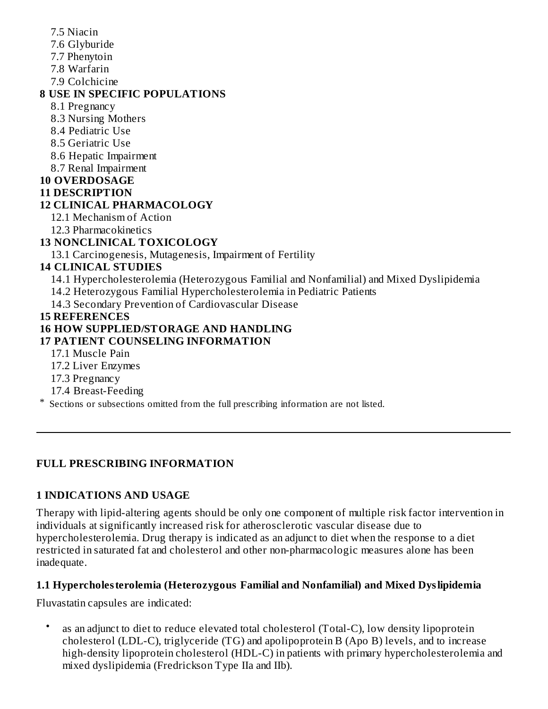- 7.5 Niacin
- 7.6 Glyburide
- 7.7 Phenytoin
- 7.8 Warfarin
- 7.9 Colchicine

## **8 USE IN SPECIFIC POPULATIONS**

- 8.1 Pregnancy
- 8.3 Nursing Mothers
- 8.4 Pediatric Use
- 8.5 Geriatric Use
- 8.6 Hepatic Impairment
- 8.7 Renal Impairment
- **10 OVERDOSAGE**
- **11 DESCRIPTION**

# **12 CLINICAL PHARMACOLOGY**

- 12.1 Mechanism of Action
- 12.3 Pharmacokinetics

# **13 NONCLINICAL TOXICOLOGY**

13.1 Carcinogenesis, Mutagenesis, Impairment of Fertility

# **14 CLINICAL STUDIES**

- 14.1 Hypercholesterolemia (Heterozygous Familial and Nonfamilial) and Mixed Dyslipidemia
- 14.2 Heterozygous Familial Hypercholesterolemia in Pediatric Patients
- 14.3 Secondary Prevention of Cardiovascular Disease

## **15 REFERENCES**

# **16 HOW SUPPLIED/STORAGE AND HANDLING**

# **17 PATIENT COUNSELING INFORMATION**

- 17.1 Muscle Pain
- 17.2 Liver Enzymes
- 17.3 Pregnancy
- 17.4 Breast-Feeding
- \* Sections or subsections omitted from the full prescribing information are not listed.

# **FULL PRESCRIBING INFORMATION**

# **1 INDICATIONS AND USAGE**

Therapy with lipid-altering agents should be only one component of multiple risk factor intervention in individuals at significantly increased risk for atherosclerotic vascular disease due to hypercholesterolemia. Drug therapy is indicated as an adjunct to diet when the response to a diet restricted in saturated fat and cholesterol and other non-pharmacologic measures alone has been inadequate.

# **1.1 Hypercholesterolemia (Heterozygous Familial and Nonfamilial) and Mixed Dyslipidemia**

Fluvastatin capsules are indicated:

• as an adjunct to diet to reduce elevated total cholesterol (Total-C), low density lipoprotein cholesterol (LDL-C), triglyceride (TG) and apolipoprotein B (Apo B) levels, and to increase high-density lipoprotein cholesterol (HDL-C) in patients with primary hypercholesterolemia and mixed dyslipidemia (Fredrickson Type IIa and IIb).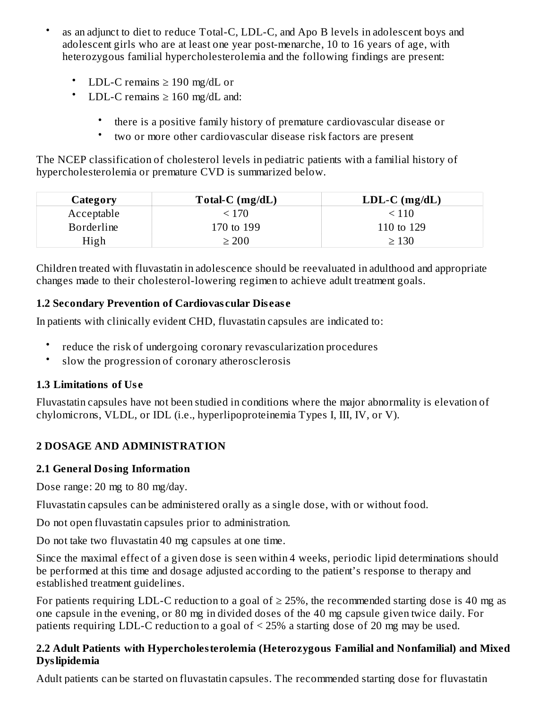- as an adjunct to diet to reduce Total-C, LDL-C, and Apo B levels in adolescent boys and adolescent girls who are at least one year post-menarche, 10 to 16 years of age, with heterozygous familial hypercholesterolemia and the following findings are present:
	- LDL-C remains  $\geq$  190 mg/dL or
	- LDL-C remains  $\geq 160$  mg/dL and:
		- there is a positive family history of premature cardiovascular disease or
		- two or more other cardiovascular disease risk factors are present

The NCEP classification of cholesterol levels in pediatric patients with a familial history of hypercholesterolemia or premature CVD is summarized below.

| Category          | Total-C $(mg/dL)$ | $LDL-C$ (mg/dL) |
|-------------------|-------------------|-----------------|
| Acceptable        | < 170             | < 110           |
| <b>Borderline</b> | 170 to 199        | 110 to 129      |
| High              | $\geq 200$        | $\geq 130$      |

Children treated with fluvastatin in adolescence should be reevaluated in adulthood and appropriate changes made to their cholesterol-lowering regimen to achieve adult treatment goals.

# **1.2 Secondary Prevention of Cardiovas cular Dis eas e**

In patients with clinically evident CHD, fluvastatin capsules are indicated to:

- reduce the risk of undergoing coronary revascularization procedures
- slow the progression of coronary atherosclerosis

# **1.3 Limitations of Us e**

Fluvastatin capsules have not been studied in conditions where the major abnormality is elevation of chylomicrons, VLDL, or IDL (i.e., hyperlipoproteinemia Types I, III, IV, or V).

# **2 DOSAGE AND ADMINISTRATION**

# **2.1 General Dosing Information**

Dose range: 20 mg to 80 mg/day.

Fluvastatin capsules can be administered orally as a single dose, with or without food.

Do not open fluvastatin capsules prior to administration.

Do not take two fluvastatin 40 mg capsules at one time.

Since the maximal effect of a given dose is seen within 4 weeks, periodic lipid determinations should be performed at this time and dosage adjusted according to the patient's response to therapy and established treatment guidelines.

For patients requiring LDL-C reduction to a goal of  $\geq$  25%, the recommended starting dose is 40 mg as one capsule in the evening, or 80 mg in divided doses of the 40 mg capsule given twice daily. For patients requiring LDL-C reduction to a goal of < 25% a starting dose of 20 mg may be used.

### **2.2 Adult Patients with Hypercholesterolemia (Heterozygous Familial and Nonfamilial) and Mixed Dyslipidemia**

Adult patients can be started on fluvastatin capsules. The recommended starting dose for fluvastatin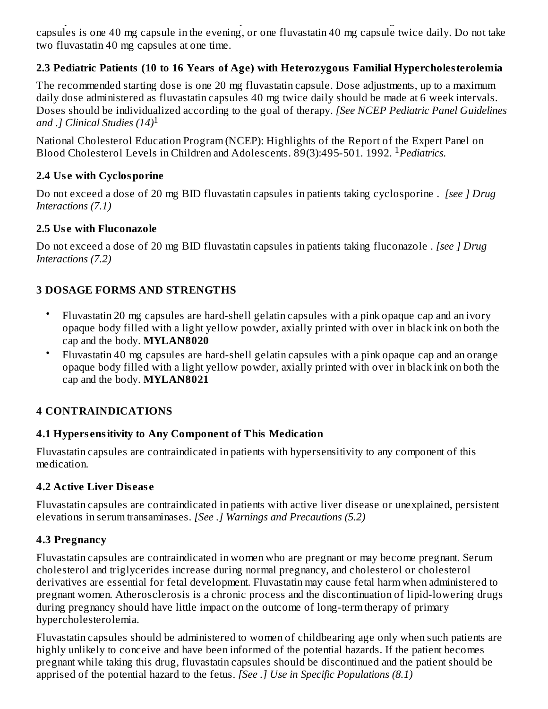Adult patients can be started on fluvastatin capsules. The recommended starting dose for fluvastatin capsules is one 40 mg capsule in the evening, or one fluvastatin 40 mg capsule twice daily. Do not take two fluvastatin 40 mg capsules at one time.

# **2.3 Pediatric Patients (10 to 16 Years of Age) with Heterozygous Familial Hypercholesterolemia**

The recommended starting dose is one 20 mg fluvastatin capsule. Dose adjustments, up to a maximum daily dose administered as fluvastatin capsules 40 mg twice daily should be made at 6 week intervals. Doses should be individualized according to the goal of therapy. *[See NCEP Pediatric Panel Guidelines and .] Clinical Studies (14)* 1

National Cholesterol Education Program (NCEP): Highlights of the Report of the Expert Panel on Blood Cholesterol Levels in Children and Adolescents. 89(3):495-501. 1992. *Pediatrics.* 1

### **2.4 Us e with Cyclosporine**

Do not exceed a dose of 20 mg BID fluvastatin capsules in patients taking cyclosporine . *[see ] Drug Interactions (7.1)*

## **2.5 Us e with Fluconazole**

Do not exceed a dose of 20 mg BID fluvastatin capsules in patients taking fluconazole . *[see ] Drug Interactions (7.2)*

# **3 DOSAGE FORMS AND STRENGTHS**

- Fluvastatin 20 mg capsules are hard-shell gelatin capsules with a pink opaque cap and an ivory opaque body filled with a light yellow powder, axially printed with over in black ink on both the cap and the body. **MYLAN8020**
- Fluvastatin 40 mg capsules are hard-shell gelatin capsules with a pink opaque cap and an orange opaque body filled with a light yellow powder, axially printed with over in black ink on both the cap and the body. **MYLAN8021**

# **4 CONTRAINDICATIONS**

# **4.1 Hypers ensitivity to Any Component of This Medication**

Fluvastatin capsules are contraindicated in patients with hypersensitivity to any component of this medication.

# **4.2 Active Liver Dis eas e**

Fluvastatin capsules are contraindicated in patients with active liver disease or unexplained, persistent elevations in serum transaminases. *[See .] Warnings and Precautions (5.2)*

# **4.3 Pregnancy**

Fluvastatin capsules are contraindicated in women who are pregnant or may become pregnant. Serum cholesterol and triglycerides increase during normal pregnancy, and cholesterol or cholesterol derivatives are essential for fetal development. Fluvastatin may cause fetal harm when administered to pregnant women. Atherosclerosis is a chronic process and the discontinuation of lipid-lowering drugs during pregnancy should have little impact on the outcome of long-term therapy of primary hypercholesterolemia.

Fluvastatin capsules should be administered to women of childbearing age only when such patients are highly unlikely to conceive and have been informed of the potential hazards. If the patient becomes pregnant while taking this drug, fluvastatin capsules should be discontinued and the patient should be apprised of the potential hazard to the fetus. *[See .] Use in Specific Populations (8.1)*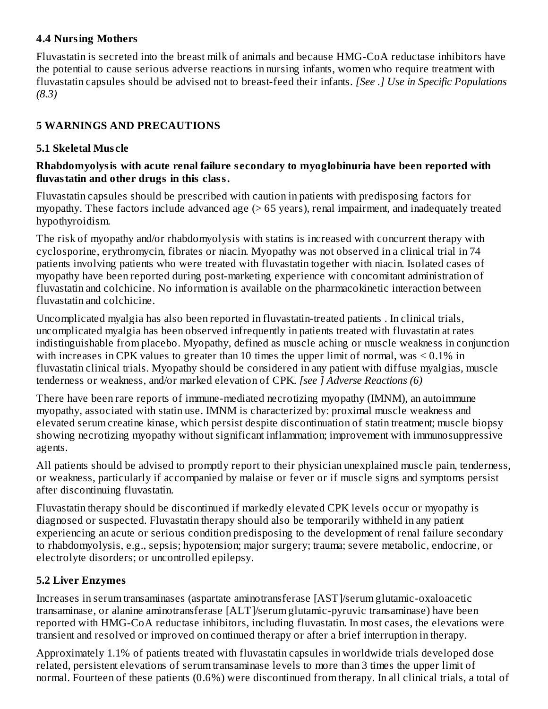## **4.4 Nursing Mothers**

Fluvastatin is secreted into the breast milk of animals and because HMG-CoA reductase inhibitors have the potential to cause serious adverse reactions in nursing infants, women who require treatment with fluvastatin capsules should be advised not to breast-feed their infants. *[See .] Use in Specific Populations (8.3)*

# **5 WARNINGS AND PRECAUTIONS**

# **5.1 Skeletal Mus cle**

### **Rhabdomyolysis with acute renal failure s econdary to myoglobinuria have been reported with fluvastatin and other drugs in this class.**

Fluvastatin capsules should be prescribed with caution in patients with predisposing factors for myopathy. These factors include advanced age (> 65 years), renal impairment, and inadequately treated hypothyroidism.

The risk of myopathy and/or rhabdomyolysis with statins is increased with concurrent therapy with cyclosporine, erythromycin, fibrates or niacin. Myopathy was not observed in a clinical trial in 74 patients involving patients who were treated with fluvastatin together with niacin. Isolated cases of myopathy have been reported during post-marketing experience with concomitant administration of fluvastatin and colchicine. No information is available on the pharmacokinetic interaction between fluvastatin and colchicine.

Uncomplicated myalgia has also been reported in fluvastatin-treated patients . In clinical trials, uncomplicated myalgia has been observed infrequently in patients treated with fluvastatin at rates indistinguishable from placebo. Myopathy, defined as muscle aching or muscle weakness in conjunction with increases in CPK values to greater than 10 times the upper limit of normal, was  $\leq 0.1\%$  in fluvastatin clinical trials. Myopathy should be considered in any patient with diffuse myalgias, muscle tenderness or weakness, and/or marked elevation of CPK. *[see ] Adverse Reactions (6)*

There have been rare reports of immune-mediated necrotizing myopathy (IMNM), an autoimmune myopathy, associated with statin use. IMNM is characterized by: proximal muscle weakness and elevated serum creatine kinase, which persist despite discontinuation of statin treatment; muscle biopsy showing necrotizing myopathy without significant inflammation; improvement with immunosuppressive agents.

All patients should be advised to promptly report to their physician unexplained muscle pain, tenderness, or weakness, particularly if accompanied by malaise or fever or if muscle signs and symptoms persist after discontinuing fluvastatin.

Fluvastatin therapy should be discontinued if markedly elevated CPK levels occur or myopathy is diagnosed or suspected. Fluvastatin therapy should also be temporarily withheld in any patient experiencing an acute or serious condition predisposing to the development of renal failure secondary to rhabdomyolysis, e.g., sepsis; hypotension; major surgery; trauma; severe metabolic, endocrine, or electrolyte disorders; or uncontrolled epilepsy.

# **5.2 Liver Enzymes**

Increases in serum transaminases (aspartate aminotransferase [AST]/serum glutamic-oxaloacetic transaminase, or alanine aminotransferase [ALT]/serum glutamic-pyruvic transaminase) have been reported with HMG-CoA reductase inhibitors, including fluvastatin. In most cases, the elevations were transient and resolved or improved on continued therapy or after a brief interruption in therapy.

Approximately 1.1% of patients treated with fluvastatin capsules in worldwide trials developed dose related, persistent elevations of serum transaminase levels to more than 3 times the upper limit of normal. Fourteen of these patients (0.6%) were discontinued from therapy. In all clinical trials, a total of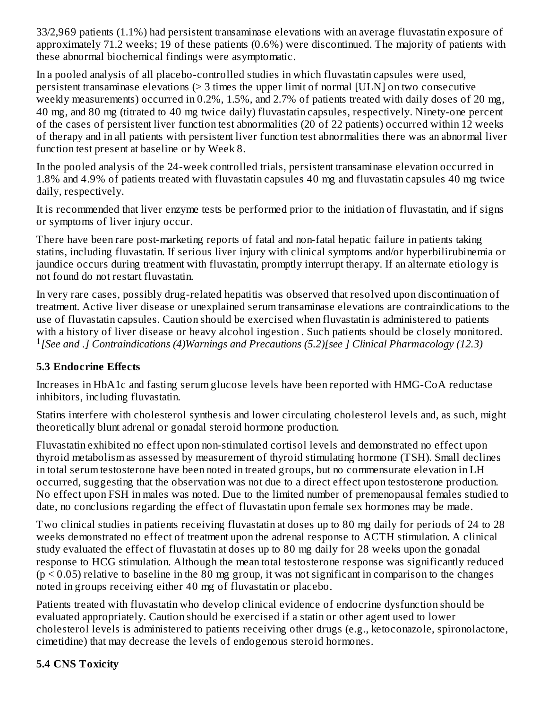33/2,969 patients (1.1%) had persistent transaminase elevations with an average fluvastatin exposure of approximately 71.2 weeks; 19 of these patients (0.6%) were discontinued. The majority of patients with these abnormal biochemical findings were asymptomatic.

In a pooled analysis of all placebo-controlled studies in which fluvastatin capsules were used, persistent transaminase elevations (> 3 times the upper limit of normal [ULN] on two consecutive weekly measurements) occurred in 0.2%, 1.5%, and 2.7% of patients treated with daily doses of 20 mg, 40 mg, and 80 mg (titrated to 40 mg twice daily) fluvastatin capsules, respectively. Ninety-one percent of the cases of persistent liver function test abnormalities (20 of 22 patients) occurred within 12 weeks of therapy and in all patients with persistent liver function test abnormalities there was an abnormal liver function test present at baseline or by Week 8.

In the pooled analysis of the 24-week controlled trials, persistent transaminase elevation occurred in 1.8% and 4.9% of patients treated with fluvastatin capsules 40 mg and fluvastatin capsules 40 mg twice daily, respectively.

It is recommended that liver enzyme tests be performed prior to the initiation of fluvastatin, and if signs or symptoms of liver injury occur.

There have been rare post-marketing reports of fatal and non-fatal hepatic failure in patients taking statins, including fluvastatin. If serious liver injury with clinical symptoms and/or hyperbilirubinemia or jaundice occurs during treatment with fluvastatin, promptly interrupt therapy. If an alternate etiology is not found do not restart fluvastatin.

In very rare cases, possibly drug-related hepatitis was observed that resolved upon discontinuation of treatment. Active liver disease or unexplained serum transaminase elevations are contraindications to the use of fluvastatin capsules. Caution should be exercised when fluvastatin is administered to patients with a history of liver disease or heavy alcohol ingestion . Such patients should be closely monitored. *[See and .] Contraindications (4)Warnings and Precautions (5.2)[see ] Clinical Pharmacology (12.3)* 1

# **5.3 Endocrine Effects**

Increases in HbA1c and fasting serum glucose levels have been reported with HMG-CoA reductase inhibitors, including fluvastatin.

Statins interfere with cholesterol synthesis and lower circulating cholesterol levels and, as such, might theoretically blunt adrenal or gonadal steroid hormone production.

Fluvastatin exhibited no effect upon non-stimulated cortisol levels and demonstrated no effect upon thyroid metabolism as assessed by measurement of thyroid stimulating hormone (TSH). Small declines in total serum testosterone have been noted in treated groups, but no commensurate elevation in LH occurred, suggesting that the observation was not due to a direct effect upon testosterone production. No effect upon FSH in males was noted. Due to the limited number of premenopausal females studied to date, no conclusions regarding the effect of fluvastatin upon female sex hormones may be made.

Two clinical studies in patients receiving fluvastatin at doses up to 80 mg daily for periods of 24 to 28 weeks demonstrated no effect of treatment upon the adrenal response to ACTH stimulation. A clinical study evaluated the effect of fluvastatin at doses up to 80 mg daily for 28 weeks upon the gonadal response to HCG stimulation. Although the mean total testosterone response was significantly reduced  $(p < 0.05)$  relative to baseline in the 80 mg group, it was not significant in comparison to the changes noted in groups receiving either 40 mg of fluvastatin or placebo.

Patients treated with fluvastatin who develop clinical evidence of endocrine dysfunction should be evaluated appropriately. Caution should be exercised if a statin or other agent used to lower cholesterol levels is administered to patients receiving other drugs (e.g., ketoconazole, spironolactone, cimetidine) that may decrease the levels of endogenous steroid hormones.

# **5.4 CNS Toxicity**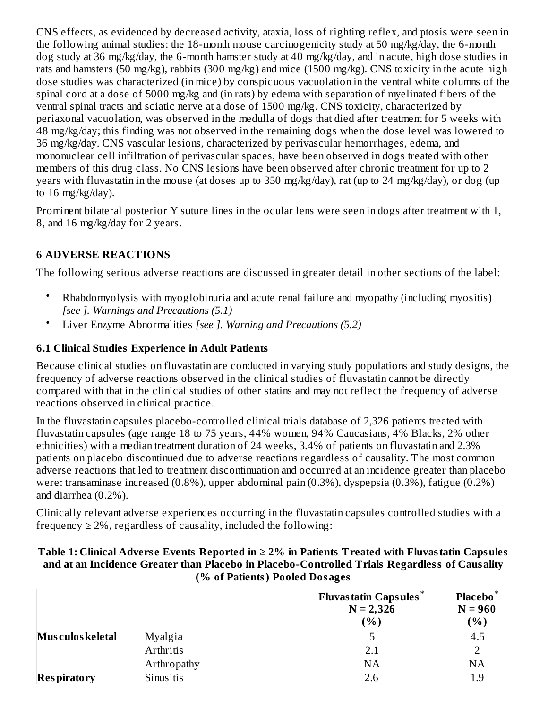CNS effects, as evidenced by decreased activity, ataxia, loss of righting reflex, and ptosis were seen in the following animal studies: the 18-month mouse carcinogenicity study at 50 mg/kg/day, the 6-month dog study at 36 mg/kg/day, the 6-month hamster study at 40 mg/kg/day, and in acute, high dose studies in rats and hamsters (50 mg/kg), rabbits (300 mg/kg) and mice (1500 mg/kg). CNS toxicity in the acute high dose studies was characterized (in mice) by conspicuous vacuolation in the ventral white columns of the spinal cord at a dose of 5000 mg/kg and (in rats) by edema with separation of myelinated fibers of the ventral spinal tracts and sciatic nerve at a dose of 1500 mg/kg. CNS toxicity, characterized by periaxonal vacuolation, was observed in the medulla of dogs that died after treatment for 5 weeks with 48 mg/kg/day; this finding was not observed in the remaining dogs when the dose level was lowered to 36 mg/kg/day. CNS vascular lesions, characterized by perivascular hemorrhages, edema, and mononuclear cell infiltration of perivascular spaces, have been observed in dogs treated with other members of this drug class. No CNS lesions have been observed after chronic treatment for up to 2 years with fluvastatin in the mouse (at doses up to 350 mg/kg/day), rat (up to 24 mg/kg/day), or dog (up to  $16 \text{ mg/kg/day}$ ).

Prominent bilateral posterior Y suture lines in the ocular lens were seen in dogs after treatment with 1, 8, and 16 mg/kg/day for 2 years.

## **6 ADVERSE REACTIONS**

The following serious adverse reactions are discussed in greater detail in other sections of the label:

- Rhabdomyolysis with myoglobinuria and acute renal failure and myopathy (including myositis) *[see ]. Warnings and Precautions (5.1)*
- Liver Enzyme Abnormalities *[see ]. Warning and Precautions (5.2)*

### **6.1 Clinical Studies Experience in Adult Patients**

Because clinical studies on fluvastatin are conducted in varying study populations and study designs, the frequency of adverse reactions observed in the clinical studies of fluvastatin cannot be directly compared with that in the clinical studies of other statins and may not reflect the frequency of adverse reactions observed in clinical practice.

In the fluvastatin capsules placebo-controlled clinical trials database of 2,326 patients treated with fluvastatin capsules (age range 18 to 75 years, 44% women, 94% Caucasians, 4% Blacks, 2% other ethnicities) with a median treatment duration of 24 weeks, 3.4% of patients on fluvastatin and 2.3% patients on placebo discontinued due to adverse reactions regardless of causality. The most common adverse reactions that led to treatment discontinuation and occurred at an incidence greater than placebo were: transaminase increased (0.8%), upper abdominal pain (0.3%), dyspepsia (0.3%), fatigue (0.2%) and diarrhea (0.2%).

Clinically relevant adverse experiences occurring in the fluvastatin capsules controlled studies with a frequency  $\geq 2\%$ , regardless of causality, included the following:

| Table 1: Clinical Adverse Events Reported in $\geq 2\%$ in Patients Treated with Fluvastatin Capsules |
|-------------------------------------------------------------------------------------------------------|
| and at an Incidence Greater than Placebo in Placebo-Controlled Trials Regardless of Causality         |
| (% of Patients) Pooled Dosages                                                                        |

|                    |             | <b>Fluvastatin Capsules*</b><br>$N = 2,326$<br>(9/6) | Placebo <sup>*</sup><br>$N = 960$<br>$(\%)$ |
|--------------------|-------------|------------------------------------------------------|---------------------------------------------|
| Mus culos keletal  | Myalgia     |                                                      | 4.5                                         |
|                    | Arthritis   | 2.1                                                  |                                             |
|                    | Arthropathy | <b>NA</b>                                            | <b>NA</b>                                   |
| <b>Respiratory</b> | Sinusitis   | 2.6                                                  | 1.9                                         |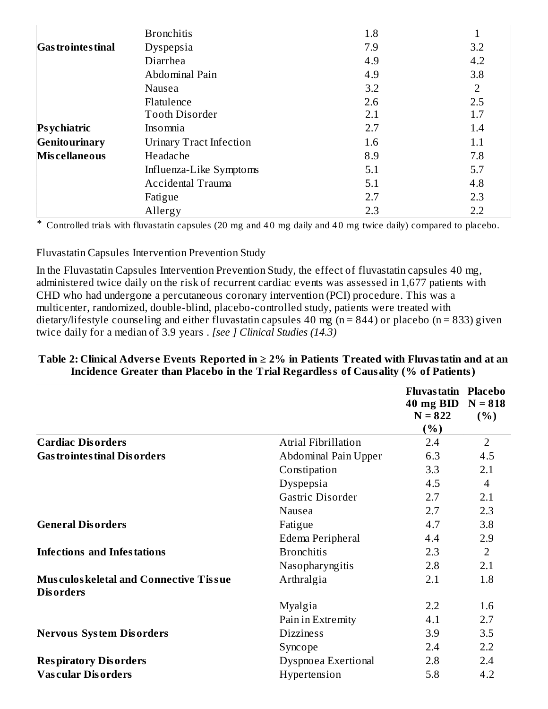|                           | <b>Bronchitis</b>              | 1.8 |     |
|---------------------------|--------------------------------|-----|-----|
| <b>Gas trointes tinal</b> | Dyspepsia                      | 7.9 | 3.2 |
|                           | Diarrhea                       | 4.9 | 4.2 |
|                           | Abdominal Pain                 | 4.9 | 3.8 |
|                           | Nausea                         | 3.2 | 2   |
|                           | Flatulence                     | 2.6 | 2.5 |
|                           | <b>Tooth Disorder</b>          | 2.1 | 1.7 |
| Psychiatric               | Insomnia                       | 2.7 | 1.4 |
| Genitourinary             | <b>Urinary Tract Infection</b> | 1.6 | 1.1 |
| <b>Miscellaneous</b>      | Headache                       | 8.9 | 7.8 |
|                           | Influenza-Like Symptoms        | 5.1 | 5.7 |
|                           | Accidental Trauma              | 5.1 | 4.8 |
|                           | Fatigue                        | 2.7 | 2.3 |
|                           | Allergy                        | 2.3 | 2.2 |

\* Controlled trials with fluvastatin capsules (20 mg and 4 0 mg daily and 4 0 mg twice daily) compared to placebo.

Fluvastatin Capsules Intervention Prevention Study

In the Fluvastatin Capsules Intervention Prevention Study, the effect of fluvastatin capsules 40 mg, administered twice daily on the risk of recurrent cardiac events was assessed in 1,677 patients with CHD who had undergone a percutaneous coronary intervention (PCI) procedure. This was a multicenter, randomized, double-blind, placebo-controlled study, patients were treated with dietary/lifestyle counseling and either fluvastatin capsules 40 mg (n = 844) or placebo (n = 833) given twice daily for a median of 3.9 years . *[see ] Clinical Studies (14.3)*

|                                                                  |                      | Fluvas tatin Placebo<br>40 mg BID<br>$N = 822$<br>(%) | $N = 818$<br>(% ) |
|------------------------------------------------------------------|----------------------|-------------------------------------------------------|-------------------|
| <b>Cardiac Disorders</b>                                         | Atrial Fibrillation  | 2.4                                                   | $\overline{2}$    |
| <b>Gastrointestinal Disorders</b>                                | Abdominal Pain Upper | 6.3                                                   | 4.5               |
|                                                                  | Constipation         | 3.3                                                   | 2.1               |
|                                                                  | Dyspepsia            | 4.5                                                   | 4                 |
|                                                                  | Gastric Disorder     | 2.7                                                   | 2.1               |
|                                                                  | Nausea               | 2.7                                                   | 2.3               |
| <b>General Disorders</b>                                         | Fatigue              | 4.7                                                   | 3.8               |
|                                                                  | Edema Peripheral     | 4.4                                                   | 2.9               |
| <b>Infections and Infestations</b>                               | <b>Bronchitis</b>    | 2.3                                                   | $\overline{2}$    |
|                                                                  | Nasopharyngitis      | 2.8                                                   | 2.1               |
| <b>Musculoskeletal and Connective Tissue</b><br><b>Disorders</b> | Arthralgia           | 2.1                                                   | 1.8               |
|                                                                  | <b>Myalgia</b>       | 2.2                                                   | 1.6               |
|                                                                  | Pain in Extremity    | 4.1                                                   | 2.7               |
| <b>Nervous System Disorders</b>                                  | <b>Dizziness</b>     | 3.9                                                   | 3.5               |
|                                                                  | Syncope              | 2.4                                                   | 2.2               |
| <b>Respiratory Disorders</b>                                     | Dyspnoea Exertional  | 2.8                                                   | 2.4               |
| <b>Vascular Disorders</b>                                        | Hypertension         | 5.8                                                   | 4.2               |

### **Table 2: Clinical Advers e Events Reported in ≥ 2% in Patients Treated with Fluvastatin and at an Incidence Greater than Placebo in the Trial Regardless of Causality (% of Patients)**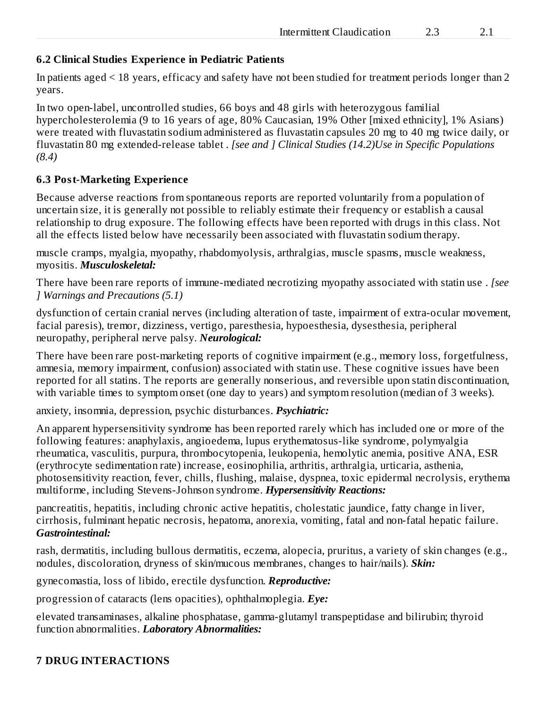### **6.2 Clinical Studies Experience in Pediatric Patients**

In patients aged < 18 years, efficacy and safety have not been studied for treatment periods longer than 2 years.

In two open-label, uncontrolled studies, 66 boys and 48 girls with heterozygous familial hypercholesterolemia (9 to 16 years of age, 80% Caucasian, 19% Other [mixed ethnicity], 1% Asians) were treated with fluvastatin sodium administered as fluvastatin capsules 20 mg to 40 mg twice daily, or fluvastatin 80 mg extended-release tablet . *[see and ] Clinical Studies (14.2)Use in Specific Populations (8.4)*

### **6.3 Post-Marketing Experience**

Because adverse reactions from spontaneous reports are reported voluntarily from a population of uncertain size, it is generally not possible to reliably estimate their frequency or establish a causal relationship to drug exposure. The following effects have been reported with drugs in this class. Not all the effects listed below have necessarily been associated with fluvastatin sodium therapy.

muscle cramps, myalgia, myopathy, rhabdomyolysis, arthralgias, muscle spasms, muscle weakness, myositis. *Musculoskeletal:*

There have been rare reports of immune-mediated necrotizing myopathy associated with statin use . *[see ] Warnings and Precautions (5.1)*

dysfunction of certain cranial nerves (including alteration of taste, impairment of extra-ocular movement, facial paresis), tremor, dizziness, vertigo, paresthesia, hypoesthesia, dysesthesia, peripheral neuropathy, peripheral nerve palsy. *Neurological:*

There have been rare post-marketing reports of cognitive impairment (e.g., memory loss, forgetfulness, amnesia, memory impairment, confusion) associated with statin use. These cognitive issues have been reported for all statins. The reports are generally nonserious, and reversible upon statin discontinuation, with variable times to symptom onset (one day to years) and symptom resolution (median of 3 weeks).

anxiety, insomnia, depression, psychic disturbances. *Psychiatric:*

An apparent hypersensitivity syndrome has been reported rarely which has included one or more of the following features: anaphylaxis, angioedema, lupus erythematosus-like syndrome, polymyalgia rheumatica, vasculitis, purpura, thrombocytopenia, leukopenia, hemolytic anemia, positive ANA, ESR (erythrocyte sedimentation rate) increase, eosinophilia, arthritis, arthralgia, urticaria, asthenia, photosensitivity reaction, fever, chills, flushing, malaise, dyspnea, toxic epidermal necrolysis, erythema multiforme, including Stevens-Johnson syndrome. *Hypersensitivity Reactions:*

pancreatitis, hepatitis, including chronic active hepatitis, cholestatic jaundice, fatty change in liver, cirrhosis, fulminant hepatic necrosis, hepatoma, anorexia, vomiting, fatal and non-fatal hepatic failure. *Gastrointestinal:*

rash, dermatitis, including bullous dermatitis, eczema, alopecia, pruritus, a variety of skin changes (e.g., nodules, discoloration, dryness of skin/mucous membranes, changes to hair/nails). *Skin:*

gynecomastia, loss of libido, erectile dysfunction. *Reproductive:*

progression of cataracts (lens opacities), ophthalmoplegia. *Eye:*

elevated transaminases, alkaline phosphatase, gamma-glutamyl transpeptidase and bilirubin; thyroid function abnormalities. *Laboratory Abnormalities:*

### **7 DRUG INTERACTIONS**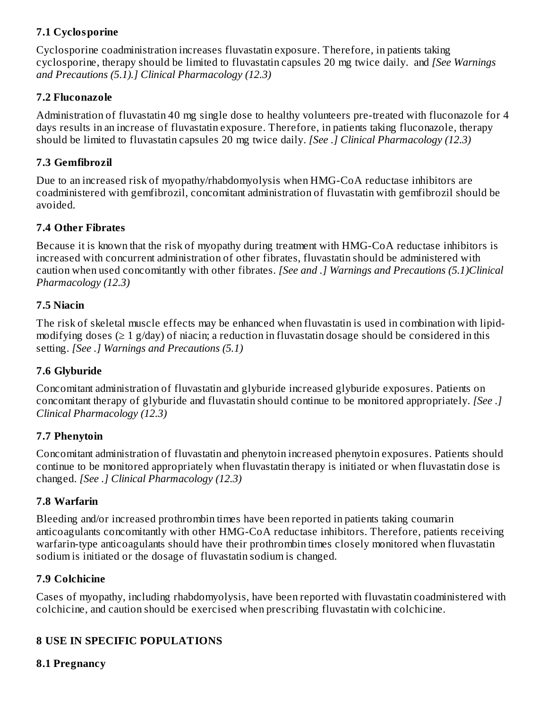# **7.1 Cyclosporine**

Cyclosporine coadministration increases fluvastatin exposure. Therefore, in patients taking cyclosporine, therapy should be limited to fluvastatin capsules 20 mg twice daily. and *[See Warnings and Precautions (5.1).] Clinical Pharmacology (12.3)*

### **7.2 Fluconazole**

Administration of fluvastatin 40 mg single dose to healthy volunteers pre-treated with fluconazole for 4 days results in an increase of fluvastatin exposure. Therefore, in patients taking fluconazole, therapy should be limited to fluvastatin capsules 20 mg twice daily. *[See .] Clinical Pharmacology (12.3)*

## **7.3 Gemfibrozil**

Due to an increased risk of myopathy/rhabdomyolysis when HMG-CoA reductase inhibitors are coadministered with gemfibrozil, concomitant administration of fluvastatin with gemfibrozil should be avoided.

## **7.4 Other Fibrates**

Because it is known that the risk of myopathy during treatment with HMG-CoA reductase inhibitors is increased with concurrent administration of other fibrates, fluvastatin should be administered with caution when used concomitantly with other fibrates. *[See and .] Warnings and Precautions (5.1)Clinical Pharmacology (12.3)*

## **7.5 Niacin**

The risk of skeletal muscle effects may be enhanced when fluvastatin is used in combination with lipidmodifying doses ( $\geq 1$  g/day) of niacin; a reduction in fluvastatin dosage should be considered in this setting. *[See .] Warnings and Precautions (5.1)*

# **7.6 Glyburide**

Concomitant administration of fluvastatin and glyburide increased glyburide exposures. Patients on concomitant therapy of glyburide and fluvastatin should continue to be monitored appropriately. *[See .] Clinical Pharmacology (12.3)*

# **7.7 Phenytoin**

Concomitant administration of fluvastatin and phenytoin increased phenytoin exposures. Patients should continue to be monitored appropriately when fluvastatin therapy is initiated or when fluvastatin dose is changed. *[See .] Clinical Pharmacology (12.3)*

### **7.8 Warfarin**

Bleeding and/or increased prothrombin times have been reported in patients taking coumarin anticoagulants concomitantly with other HMG-CoA reductase inhibitors. Therefore, patients receiving warfarin-type anticoagulants should have their prothrombin times closely monitored when fluvastatin sodium is initiated or the dosage of fluvastatin sodium is changed.

### **7.9 Colchicine**

Cases of myopathy, including rhabdomyolysis, have been reported with fluvastatin coadministered with colchicine, and caution should be exercised when prescribing fluvastatin with colchicine.

# **8 USE IN SPECIFIC POPULATIONS**

### **8.1 Pregnancy**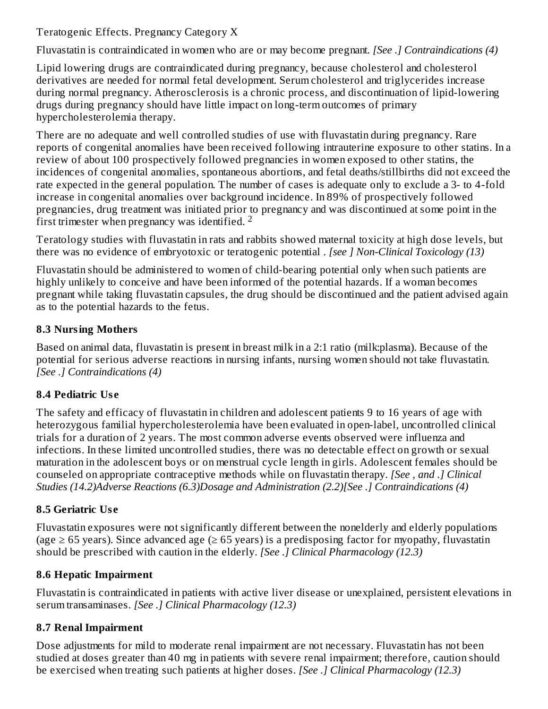Teratogenic Effects. Pregnancy Category X

Fluvastatin is contraindicated in women who are or may become pregnant. *[See .] Contraindications (4)*

Lipid lowering drugs are contraindicated during pregnancy, because cholesterol and cholesterol derivatives are needed for normal fetal development. Serum cholesterol and triglycerides increase during normal pregnancy. Atherosclerosis is a chronic process, and discontinuation of lipid-lowering drugs during pregnancy should have little impact on long-term outcomes of primary hypercholesterolemia therapy.

There are no adequate and well controlled studies of use with fluvastatin during pregnancy. Rare reports of congenital anomalies have been received following intrauterine exposure to other statins. In a review of about 100 prospectively followed pregnancies in women exposed to other statins, the incidences of congenital anomalies, spontaneous abortions, and fetal deaths/stillbirths did not exceed the rate expected in the general population. The number of cases is adequate only to exclude a 3- to 4-fold increase in congenital anomalies over background incidence. In 89% of prospectively followed pregnancies, drug treatment was initiated prior to pregnancy and was discontinued at some point in the first trimester when pregnancy was identified.  $2$ 

Teratology studies with fluvastatin in rats and rabbits showed maternal toxicity at high dose levels, but there was no evidence of embryotoxic or teratogenic potential . *[see ] Non-Clinical Toxicology (13)*

Fluvastatin should be administered to women of child-bearing potential only when such patients are highly unlikely to conceive and have been informed of the potential hazards. If a woman becomes pregnant while taking fluvastatin capsules, the drug should be discontinued and the patient advised again as to the potential hazards to the fetus.

# **8.3 Nursing Mothers**

Based on animal data, fluvastatin is present in breast milk in a 2:1 ratio (milk:plasma). Because of the potential for serious adverse reactions in nursing infants, nursing women should not take fluvastatin. *[See .] Contraindications (4)*

# **8.4 Pediatric Us e**

The safety and efficacy of fluvastatin in children and adolescent patients 9 to 16 years of age with heterozygous familial hypercholesterolemia have been evaluated in open-label, uncontrolled clinical trials for a duration of 2 years. The most common adverse events observed were influenza and infections. In these limited uncontrolled studies, there was no detectable effect on growth or sexual maturation in the adolescent boys or on menstrual cycle length in girls. Adolescent females should be counseled on appropriate contraceptive methods while on fluvastatin therapy. *[See , and .] Clinical Studies (14.2)Adverse Reactions (6.3)Dosage and Administration (2.2)[See .] Contraindications (4)*

# **8.5 Geriatric Us e**

Fluvastatin exposures were not significantly different between the nonelderly and elderly populations (age  $\geq$  65 years). Since advanced age ( $\geq$  65 years) is a predisposing factor for myopathy, fluvastatin should be prescribed with caution in the elderly. *[See .] Clinical Pharmacology (12.3)*

# **8.6 Hepatic Impairment**

Fluvastatin is contraindicated in patients with active liver disease or unexplained, persistent elevations in serum transaminases. *[See .] Clinical Pharmacology (12.3)*

# **8.7 Renal Impairment**

Dose adjustments for mild to moderate renal impairment are not necessary. Fluvastatin has not been studied at doses greater than 40 mg in patients with severe renal impairment; therefore, caution should be exercised when treating such patients at higher doses. *[See .] Clinical Pharmacology (12.3)*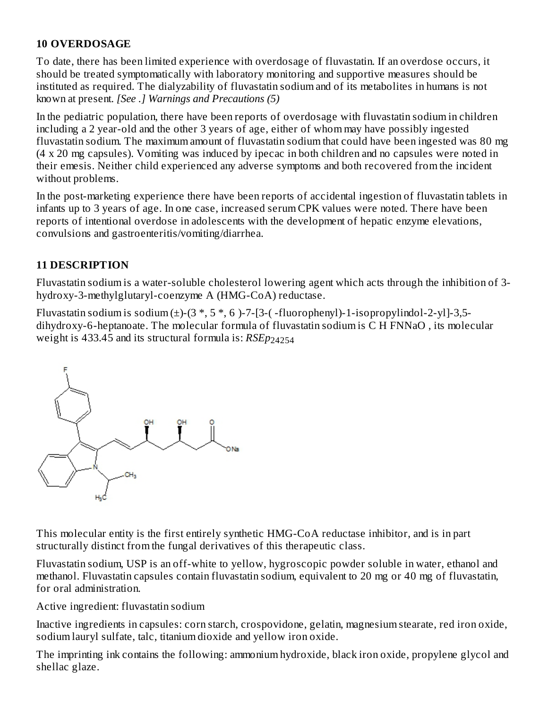## **10 OVERDOSAGE**

To date, there has been limited experience with overdosage of fluvastatin. If an overdose occurs, it should be treated symptomatically with laboratory monitoring and supportive measures should be instituted as required. The dialyzability of fluvastatin sodium and of its metabolites in humans is not known at present. *[See .] Warnings and Precautions (5)*

In the pediatric population, there have been reports of overdosage with fluvastatin sodium in children including a 2 year-old and the other 3 years of age, either of whom may have possibly ingested fluvastatin sodium. The maximum amount of fluvastatin sodium that could have been ingested was 80 mg (4 x 20 mg capsules). Vomiting was induced by ipecac in both children and no capsules were noted in their emesis. Neither child experienced any adverse symptoms and both recovered from the incident without problems.

In the post-marketing experience there have been reports of accidental ingestion of fluvastatin tablets in infants up to 3 years of age. In one case, increased serum CPK values were noted. There have been reports of intentional overdose in adolescents with the development of hepatic enzyme elevations, convulsions and gastroenteritis/vomiting/diarrhea.

# **11 DESCRIPTION**

Fluvastatin sodium is a water-soluble cholesterol lowering agent which acts through the inhibition of 3 hydroxy-3-methylglutaryl-coenzyme A (HMG-CoA) reductase.

Fluvastatin sodium is sodium  $(\pm)$ - $(3, 5, 5, 6)$ -7- $[3$ - $($ -fluorophenyl $)$ -1-isopropylindol-2-yl]-3,5dihydroxy-6-heptanoate. The molecular formula of fluvastatin sodium is C H FNNaO , its molecular weight is 433.45 and its structural formula is: *RSEp* 24254



This molecular entity is the first entirely synthetic HMG-CoA reductase inhibitor, and is in part structurally distinct from the fungal derivatives of this therapeutic class.

Fluvastatin sodium, USP is an off-white to yellow, hygroscopic powder soluble in water, ethanol and methanol. Fluvastatin capsules contain fluvastatin sodium, equivalent to 20 mg or 40 mg of fluvastatin, for oral administration.

Active ingredient: fluvastatin sodium

Inactive ingredients in capsules: corn starch, crospovidone, gelatin, magnesium stearate, red iron oxide, sodium lauryl sulfate, talc, titanium dioxide and yellow iron oxide.

The imprinting ink contains the following: ammonium hydroxide, black iron oxide, propylene glycol and shellac glaze.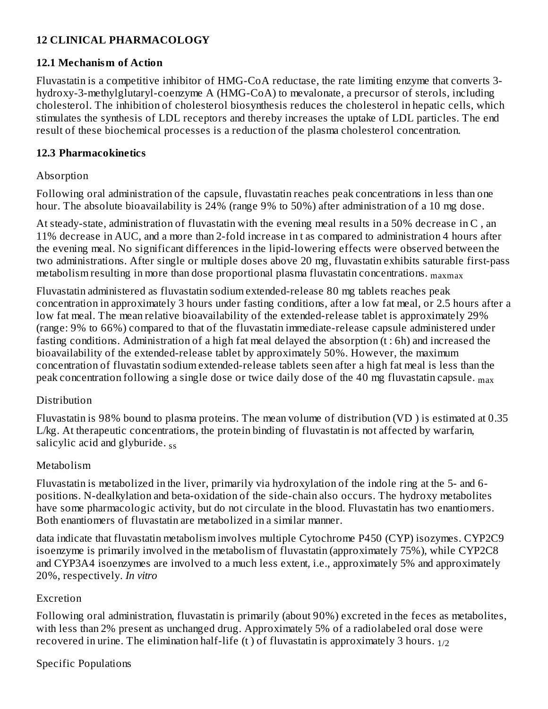# **12 CLINICAL PHARMACOLOGY**

## **12.1 Mechanism of Action**

Fluvastatin is a competitive inhibitor of HMG-CoA reductase, the rate limiting enzyme that converts 3 hydroxy-3-methylglutaryl-coenzyme A (HMG-CoA) to mevalonate, a precursor of sterols, including cholesterol. The inhibition of cholesterol biosynthesis reduces the cholesterol in hepatic cells, which stimulates the synthesis of LDL receptors and thereby increases the uptake of LDL particles. The end result of these biochemical processes is a reduction of the plasma cholesterol concentration.

## **12.3 Pharmacokinetics**

## Absorption

Following oral administration of the capsule, fluvastatin reaches peak concentrations in less than one hour. The absolute bioavailability is 24% (range 9% to 50%) after administration of a 10 mg dose.

At steady-state, administration of fluvastatin with the evening meal results in a 50% decrease in C , an 11% decrease in AUC, and a more than 2-fold increase in t as compared to administration 4 hours after the evening meal. No significant differences in the lipid-lowering effects were observed between the two administrations. After single or multiple doses above 20 mg, fluvastatin exhibits saturable first-pass metabolism resulting in more than dose proportional plasma fluvastatin concentrations. maxmax

Fluvastatin administered as fluvastatin sodium extended-release 80 mg tablets reaches peak concentration in approximately 3 hours under fasting conditions, after a low fat meal, or 2.5 hours after a low fat meal. The mean relative bioavailability of the extended-release tablet is approximately 29% (range: 9% to 66%) compared to that of the fluvastatin immediate-release capsule administered under fasting conditions. Administration of a high fat meal delayed the absorption (t : 6h) and increased the bioavailability of the extended-release tablet by approximately 50%. However, the maximum concentration of fluvastatin sodium extended-release tablets seen after a high fat meal is less than the peak concentration following a single dose or twice daily dose of the 40 mg fluvastatin capsule.  $_{\rm max}$ 

# Distribution

Fluvastatin is 98% bound to plasma proteins. The mean volume of distribution (VD ) is estimated at 0.35 L/kg. At therapeutic concentrations, the protein binding of fluvastatin is not affected by warfarin, salicylic acid and glyburide. <sub>ss</sub>

# Metabolism

Fluvastatin is metabolized in the liver, primarily via hydroxylation of the indole ring at the 5- and 6 positions. N-dealkylation and beta-oxidation of the side-chain also occurs. The hydroxy metabolites have some pharmacologic activity, but do not circulate in the blood. Fluvastatin has two enantiomers. Both enantiomers of fluvastatin are metabolized in a similar manner.

data indicate that fluvastatin metabolism involves multiple Cytochrome P450 (CYP) isozymes. CYP2C9 isoenzyme is primarily involved in the metabolism of fluvastatin (approximately 75%), while CYP2C8 and CYP3A4 isoenzymes are involved to a much less extent, i.e., approximately 5% and approximately 20%, respectively. *In vitro*

# Excretion

Following oral administration, fluvastatin is primarily (about 90%) excreted in the feces as metabolites, with less than 2% present as unchanged drug. Approximately 5% of a radiolabeled oral dose were recovered in urine. The elimination half-life (t ) of fluvastatin is approximately 3 hours.  $_{1/2}$ 

# Specific Populations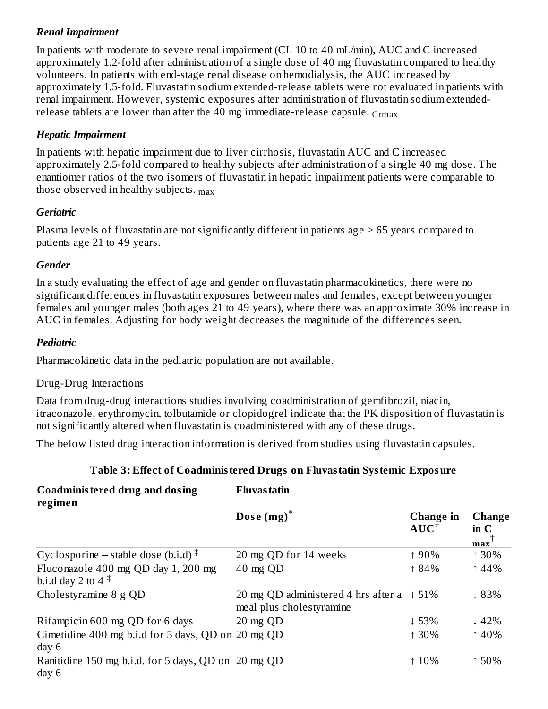## *Renal Impairment*

In patients with moderate to severe renal impairment (CL 10 to 40 mL/min), AUC and C increased approximately 1.2-fold after administration of a single dose of 40 mg fluvastatin compared to healthy volunteers. In patients with end-stage renal disease on hemodialysis, the AUC increased by approximately 1.5-fold. Fluvastatin sodium extended-release tablets were not evaluated in patients with renal impairment. However, systemic exposures after administration of fluvastatin sodium extendedrelease tablets are lower than after the 40 mg immediate-release capsule.  $_{\rm Crmax}$ 

### *Hepatic Impairment*

In patients with hepatic impairment due to liver cirrhosis, fluvastatin AUC and C increased approximately 2.5-fold compared to healthy subjects after administration of a single 40 mg dose. The enantiomer ratios of the two isomers of fluvastatin in hepatic impairment patients were comparable to those observed in healthy subjects.  $_{\rm max}$ 

## *Geriatric*

Plasma levels of fluvastatin are not significantly different in patients age > 65 years compared to patients age 21 to 49 years.

## *Gender*

In a study evaluating the effect of age and gender on fluvastatin pharmacokinetics, there were no significant differences in fluvastatin exposures between males and females, except between younger females and younger males (both ages 21 to 49 years), where there was an approximate 30% increase in AUC in females. Adjusting for body weight decreases the magnitude of the differences seen.

## *Pediatric*

Pharmacokinetic data in the pediatric population are not available.

### Drug-Drug Interactions

Data from drug-drug interactions studies involving coadministration of gemfibrozil, niacin, itraconazole, erythromycin, tolbutamide or clopidogrel indicate that the PK disposition of fluvastatin is not significantly altered when fluvastatin is coadministered with any of these drugs.

The below listed drug interaction information is derived from studies using fluvastatin capsules.

| Coadministered drug and dosing<br>regimen                     | <b>Fluvas tatin</b>                                                              |                              |                                                  |
|---------------------------------------------------------------|----------------------------------------------------------------------------------|------------------------------|--------------------------------------------------|
|                                                               | Dose $(mg)^*$                                                                    | Change in<br>$AUC^{\dagger}$ | <b>Change</b><br>$\mathbf{in} \mathbf{C}$<br>max |
| Cyclosporine – stable dose (b.i.d) $\ddagger$                 | 20 mg QD for 14 weeks                                                            | ↑90%                         | ↑ 30%                                            |
| Fluconazole 400 mg QD day 1, 200 mg<br>b.i.d day 2 to 4 $\pm$ | 40 mg QD                                                                         | ↑ 84%                        | ↑44%                                             |
| Cholestyramine 8 g QD                                         | 20 mg QD administered 4 hrs after a $\downarrow$ 51%<br>meal plus cholestyramine |                              | ~183%                                            |
| Rifampicin 600 mg QD for 6 days                               | 20 mg QD                                                                         | $\downarrow$ 53%             | $\downarrow$ 42%                                 |
| Cimetidine 400 mg b.i.d for 5 days, QD on 20 mg QD<br>day 6   |                                                                                  | $130\%$                      | ↑40%                                             |
| Ranitidine 150 mg b.i.d. for 5 days, QD on 20 mg QD<br>day 6  |                                                                                  | $10\%$                       | ↑50%                                             |

### **Table 3: Effect of Coadministered Drugs on Fluvastatin Systemic Exposure**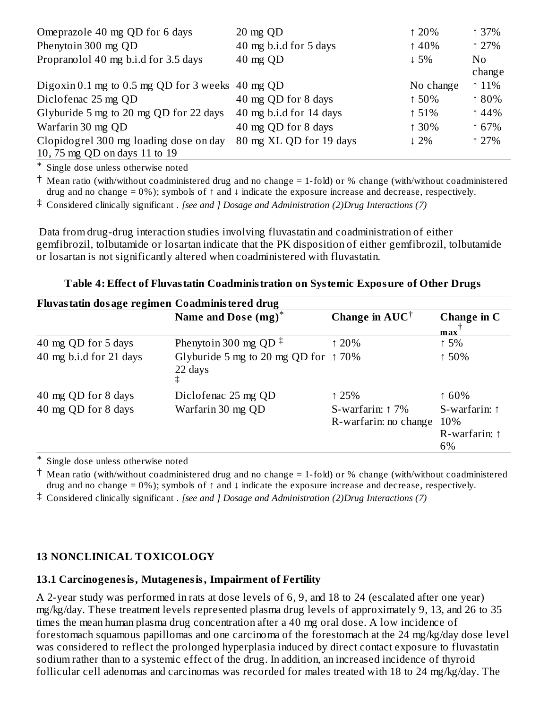| Omeprazole 40 mg QD for 6 days                   | $20 \text{ mg }$ QD     | 120%            | 137%           |
|--------------------------------------------------|-------------------------|-----------------|----------------|
| Phenytoin 300 mg QD                              | 40 mg b.i.d for 5 days  | $\uparrow$ 40%  | 127%           |
| Propranolol 40 mg b.i.d for 3.5 days             | $40 \text{ mg QD}$      | $\downarrow$ 5% | No.            |
|                                                  |                         |                 | change         |
| Digoxin 0.1 mg to 0.5 mg QD for 3 weeks 40 mg QD |                         | No change       | $\uparrow$ 11% |
| Diclofenac 25 mg QD                              | 40 mg QD for 8 days     | ↑50%            | ↑80%           |
| Glyburide 5 mg to 20 mg QD for 22 days           | 40 mg b.i.d for 14 days | $\uparrow$ 51%  | $\uparrow$ 44% |
| Warfarin 30 mg QD                                | 40 mg QD for 8 days     | ↑ 30%           | ↑ 67%          |
| Clopidogrel 300 mg loading dose on day           | 80 mg XL QD for 19 days | $\downarrow$ 2% | 127%           |
| 10, 75 mg QD on days 11 to 19                    |                         |                 |                |

\* Single dose unless otherwise noted

† Mean ratio (with/without coadministered drug and no change = 1-fold) or % change (with/without coadministered drug and no change = 0%); symbols of ↑ and ↓ indicate the exposure increase and decrease, respectively.

‡ Considered clinically significant . *[see and ] Dosage and Administration (2)Drug Interactions (7)*

Data from drug-drug interaction studies involving fluvastatin and coadministration of either gemfibrozil, tolbutamide or losartan indicate that the PK disposition of either gemfibrozil, tolbutamide or losartan is not significantly altered when coadministered with fluvastatin.

| Fluvastatin dosage regimen Coadministered drug |                                                          |                                                    |                               |
|------------------------------------------------|----------------------------------------------------------|----------------------------------------------------|-------------------------------|
|                                                | Name and Dose (mg) <sup>*</sup>                          | Change in $AUC^{\dagger}$                          | Change in C<br>max            |
| 40 mg QD for 5 days                            | Phenytoin 300 mg QD <sup><math>\ddagger</math></sup>     | 120%                                               | 15%                           |
| 40 mg b.i.d for 21 days                        | Glyburide 5 mg to 20 mg QD for $\uparrow$ 70%<br>22 days |                                                    | ↑50%                          |
| 40 mg QD for 8 days                            | Diclofenac 25 mg QD                                      | 125%                                               | 160%                          |
| 40 mg QD for 8 days                            | Warfarin 30 mg QD                                        | S-warfarin: $\uparrow$ 7%<br>R-warfarin: no change | S-warfarin: $\uparrow$<br>10% |
|                                                |                                                          |                                                    | R-warfarin: $\uparrow$<br>6%  |

**Table 4: Effect of Fluvastatin Coadministration on Systemic Exposure of Other Drugs**

\* Single dose unless otherwise noted

† Mean ratio (with/without coadministered drug and no change = 1-fold) or % change (with/without coadministered drug and no change = 0%); symbols of  $\uparrow$  and  $\downarrow$  indicate the exposure increase and decrease, respectively.

‡ Considered clinically significant . *[see and ] Dosage and Administration (2)Drug Interactions (7)*

### **13 NONCLINICAL TOXICOLOGY**

### **13.1 Carcinogenesis, Mutagenesis, Impairment of Fertility**

A 2-year study was performed in rats at dose levels of 6, 9, and 18 to 24 (escalated after one year) mg/kg/day. These treatment levels represented plasma drug levels of approximately 9, 13, and 26 to 35 times the mean human plasma drug concentration after a 40 mg oral dose. A low incidence of forestomach squamous papillomas and one carcinoma of the forestomach at the 24 mg/kg/day dose level was considered to reflect the prolonged hyperplasia induced by direct contact exposure to fluvastatin sodium rather than to a systemic effect of the drug. In addition, an increased incidence of thyroid follicular cell adenomas and carcinomas was recorded for males treated with 18 to 24 mg/kg/day. The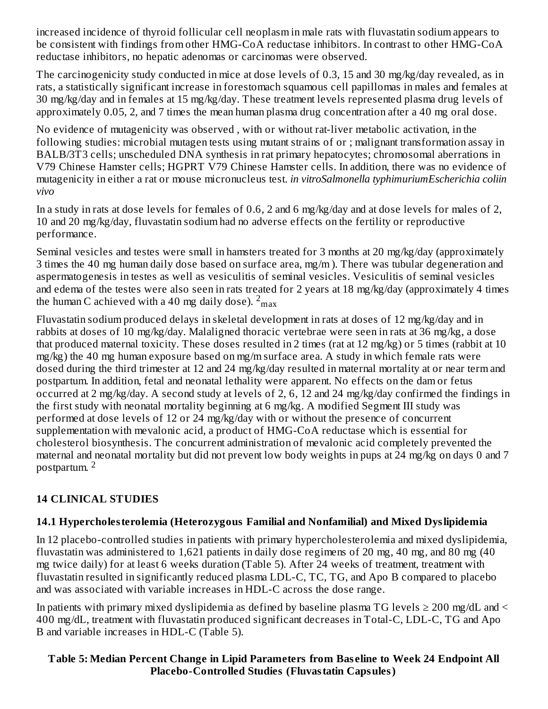increased incidence of thyroid follicular cell neoplasm in male rats with fluvastatin sodium appears to be consistent with findings from other HMG-CoA reductase inhibitors. In contrast to other HMG-CoA reductase inhibitors, no hepatic adenomas or carcinomas were observed.

The carcinogenicity study conducted in mice at dose levels of 0.3, 15 and 30 mg/kg/day revealed, as in rats, a statistically significant increase in forestomach squamous cell papillomas in males and females at 30 mg/kg/day and in females at 15 mg/kg/day. These treatment levels represented plasma drug levels of approximately 0.05, 2, and 7 times the mean human plasma drug concentration after a 40 mg oral dose.

No evidence of mutagenicity was observed , with or without rat-liver metabolic activation, in the following studies: microbial mutagen tests using mutant strains of or ; malignant transformation assay in BALB/3T3 cells; unscheduled DNA synthesis in rat primary hepatocytes; chromosomal aberrations in V79 Chinese Hamster cells; HGPRT V79 Chinese Hamster cells. In addition, there was no evidence of mutagenicity in either a rat or mouse micronucleus test. *in vitroSalmonella typhimuriumEscherichia coliin vivo*

In a study in rats at dose levels for females of 0.6, 2 and 6 mg/kg/day and at dose levels for males of 2, 10 and 20 mg/kg/day, fluvastatin sodium had no adverse effects on the fertility or reproductive performance.

Seminal vesicles and testes were small in hamsters treated for 3 months at 20 mg/kg/day (approximately 3 times the 40 mg human daily dose based on surface area, mg/m ). There was tubular degeneration and aspermatogenesis in testes as well as vesiculitis of seminal vesicles. Vesiculitis of seminal vesicles and edema of the testes were also seen in rats treated for 2 years at 18 mg/kg/day (approximately 4 times the human C achieved with a 40 mg daily dose).  $^2$ <sub>max</sub>

Fluvastatin sodium produced delays in skeletal development in rats at doses of 12 mg/kg/day and in rabbits at doses of 10 mg/kg/day. Malaligned thoracic vertebrae were seen in rats at 36 mg/kg, a dose that produced maternal toxicity. These doses resulted in 2 times (rat at 12 mg/kg) or 5 times (rabbit at 10 mg/kg) the 40 mg human exposure based on mg/m surface area. A study in which female rats were dosed during the third trimester at 12 and 24 mg/kg/day resulted in maternal mortality at or near term and postpartum. In addition, fetal and neonatal lethality were apparent. No effects on the dam or fetus occurred at 2 mg/kg/day. A second study at levels of 2, 6, 12 and 24 mg/kg/day confirmed the findings in the first study with neonatal mortality beginning at 6 mg/kg. A modified Segment III study was performed at dose levels of 12 or 24 mg/kg/day with or without the presence of concurrent supplementation with mevalonic acid, a product of HMG-CoA reductase which is essential for cholesterol biosynthesis. The concurrent administration of mevalonic acid completely prevented the maternal and neonatal mortality but did not prevent low body weights in pups at 24 mg/kg on days 0 and 7 postpartum. 2

# **14 CLINICAL STUDIES**

# **14.1 Hypercholesterolemia (Heterozygous Familial and Nonfamilial) and Mixed Dyslipidemia**

In 12 placebo-controlled studies in patients with primary hypercholesterolemia and mixed dyslipidemia, fluvastatin was administered to 1,621 patients in daily dose regimens of 20 mg, 40 mg, and 80 mg (40 mg twice daily) for at least 6 weeks duration (Table 5). After 24 weeks of treatment, treatment with fluvastatin resulted in significantly reduced plasma LDL-C, TC, TG, and Apo B compared to placebo and was associated with variable increases in HDL-C across the dose range.

In patients with primary mixed dyslipidemia as defined by baseline plasma TG levels  $\geq 200$  mg/dL and  $\leq$ 400 mg/dL, treatment with fluvastatin produced significant decreases in Total-C, LDL-C, TG and Apo B and variable increases in HDL-C (Table 5).

# **Table 5: Median Percent Change in Lipid Parameters from Bas eline to Week 24 Endpoint All Placebo-Controlled Studies (Fluvastatin Capsules)**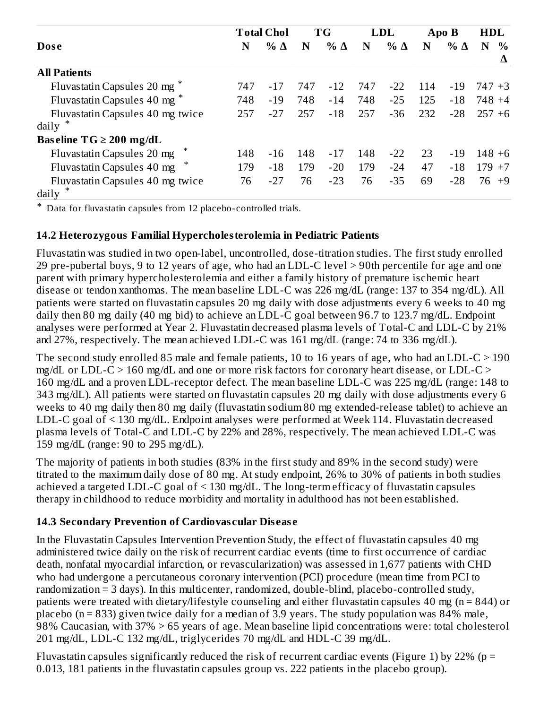|                                         |     | <b>Total Chol</b> |     | <b>TG</b>  |     | <b>LDL</b> |     | Apo B      | <b>HDL</b>         |
|-----------------------------------------|-----|-------------------|-----|------------|-----|------------|-----|------------|--------------------|
| <b>Dose</b>                             | N   | % $\Delta$        | N   | $% \Delta$ | N   | $% \Delta$ | N   | % $\Delta$ | $\frac{0}{0}$<br>N |
| <b>All Patients</b>                     |     |                   |     |            |     |            |     |            | Δ                  |
| Fluvastatin Capsules 20 mg <sup>*</sup> | 747 | $-17$             | 747 | $-12$      | 747 | $-22$      | 114 | $-19$      | 747 +3             |
| Fluvastatin Capsules 40 mg <sup>*</sup> | 748 | $-19$             | 748 | $-14$      | 748 | $-25$      | 125 | $-18$      | 748 +4             |
| Fluvastatin Capsules 40 mg twice        | 257 | $-27$             | 257 | $-18$      | 257 | $-36$      | 232 | $-28$      | $257 + 6$          |
| daily                                   |     |                   |     |            |     |            |     |            |                    |
| Baseline $TG \ge 200$ mg/dL             |     |                   |     |            |     |            |     |            |                    |
| Fluvastatin Capsules 20 mg              | 148 | $-16$             | 148 | $-17$      | 148 | $-22$      | 23  | $-19$      | $148 + 6$          |
| ∗<br>Fluvastatin Capsules 40 mg         | 179 | $-18$             | 179 | $-20$      | 179 | $-24$      | 47  | $-18$      | 179<br>$+7$        |
| Fluvastatin Capsules 40 mg twice        | 76  | $-27$             | 76  | $-23$      | 76  | $-35$      | 69  | $-28$      | 76<br>$+9$         |
| daily                                   |     |                   |     |            |     |            |     |            |                    |

\* Data for fluvastatin capsules from 12 placebo-controlled trials.

### **14.2 Heterozygous Familial Hypercholesterolemia in Pediatric Patients**

Fluvastatin was studied in two open-label, uncontrolled, dose-titration studies. The first study enrolled 29 pre-pubertal boys, 9 to 12 years of age, who had an LDL-C level > 90th percentile for age and one parent with primary hypercholesterolemia and either a family history of premature ischemic heart disease or tendon xanthomas. The mean baseline LDL-C was 226 mg/dL (range: 137 to 354 mg/dL). All patients were started on fluvastatin capsules 20 mg daily with dose adjustments every 6 weeks to 40 mg daily then 80 mg daily (40 mg bid) to achieve an LDL-C goal between 96.7 to 123.7 mg/dL. Endpoint analyses were performed at Year 2. Fluvastatin decreased plasma levels of Total-C and LDL-C by 21% and 27%, respectively. The mean achieved LDL-C was 161 mg/dL (range: 74 to 336 mg/dL).

The second study enrolled 85 male and female patients, 10 to 16 years of age, who had an LDL-C > 190 mg/dL or LDL-C  $> 160$  mg/dL and one or more risk factors for coronary heart disease, or LDL-C  $>$ 160 mg/dL and a proven LDL-receptor defect. The mean baseline LDL-C was 225 mg/dL (range: 148 to 343 mg/dL). All patients were started on fluvastatin capsules 20 mg daily with dose adjustments every 6 weeks to 40 mg daily then 80 mg daily (fluvastatin sodium 80 mg extended-release tablet) to achieve an LDL-C goal of < 130 mg/dL. Endpoint analyses were performed at Week 114. Fluvastatin decreased plasma levels of Total-C and LDL-C by 22% and 28%, respectively. The mean achieved LDL-C was 159 mg/dL (range: 90 to 295 mg/dL).

The majority of patients in both studies (83% in the first study and 89% in the second study) were titrated to the maximum daily dose of 80 mg. At study endpoint, 26% to 30% of patients in both studies achieved a targeted LDL-C goal of < 130 mg/dL. The long-term efficacy of fluvastatin capsules therapy in childhood to reduce morbidity and mortality in adulthood has not been established.

### **14.3 Secondary Prevention of Cardiovas cular Dis eas e**

In the Fluvastatin Capsules Intervention Prevention Study, the effect of fluvastatin capsules 40 mg administered twice daily on the risk of recurrent cardiac events (time to first occurrence of cardiac death, nonfatal myocardial infarction, or revascularization) was assessed in 1,677 patients with CHD who had undergone a percutaneous coronary intervention (PCI) procedure (mean time from PCI to randomization = 3 days). In this multicenter, randomized, double-blind, placebo-controlled study, patients were treated with dietary/lifestyle counseling and either fluvastatin capsules 40 mg (n = 844) or placebo ( $n = 833$ ) given twice daily for a median of 3.9 years. The study population was 84% male, 98% Caucasian, with 37% > 65 years of age. Mean baseline lipid concentrations were: total cholesterol 201 mg/dL, LDL-C 132 mg/dL, triglycerides 70 mg/dL and HDL-C 39 mg/dL.

Fluvastatin capsules significantly reduced the risk of recurrent cardiac events (Figure 1) by 22% ( $p =$ 0.013, 181 patients in the fluvastatin capsules group vs. 222 patients in the placebo group).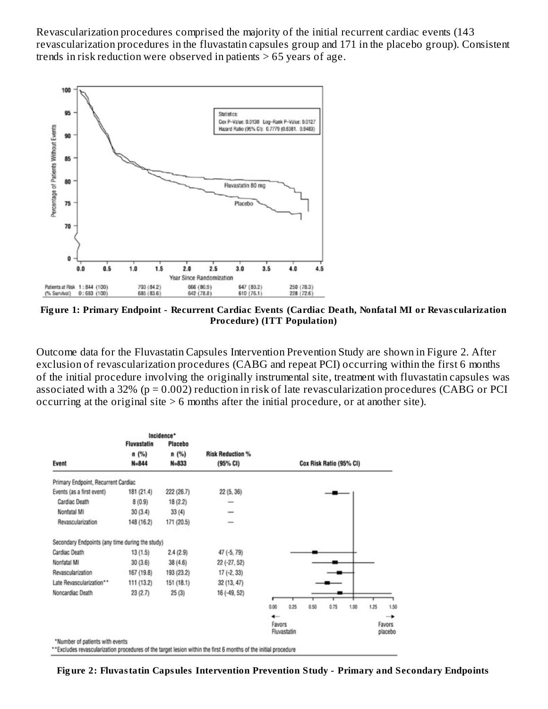Revascularization procedures comprised the majority of the initial recurrent cardiac events (143 revascularization procedures in the fluvastatin capsules group and 171 in the placebo group). Consistent trends in risk reduction were observed in patients  $> 65$  years of age.



**Fig ure 1: Primary Endpoint - Recurrent Cardiac Events (Cardiac Death, Nonfatal MI or Revas cularization Procedure) (ITT Population)**

Outcome data for the Fluvastatin Capsules Intervention Prevention Study are shown in Figure 2. After exclusion of revascularization procedures (CABG and repeat PCI) occurring within the first 6 months of the initial procedure involving the originally instrumental site, treatment with fluvastatin capsules was associated with a 32% (p = 0.002) reduction in risk of late revascularization procedures (CABG or PCI occurring at the original site > 6 months after the initial procedure, or at another site).

|                                                 |                    | Incidence* |                                                                                                                 |        |             |                         |      |      |      |                   |
|-------------------------------------------------|--------------------|------------|-----------------------------------------------------------------------------------------------------------------|--------|-------------|-------------------------|------|------|------|-------------------|
|                                                 | <b>Fluvastatin</b> | Placebo    |                                                                                                                 |        |             |                         |      |      |      |                   |
|                                                 | n (%)              | n (%)      | <b>Risk Reduction %</b>                                                                                         |        |             |                         |      |      |      |                   |
| Event                                           | $N = 844$          | $N = 833$  | (95% CI)                                                                                                        |        |             | Cox Risk Ratio (95% CI) |      |      |      |                   |
| Primary Endpoint, Recurrent Cardiac             |                    |            |                                                                                                                 |        |             |                         |      |      |      |                   |
| Events (as a first event)                       | 181(21.4)          | 222 (26.7) | 22 (5, 36)                                                                                                      |        |             |                         |      |      |      |                   |
| Cardiac Death                                   | 8(0.9)             | 18(2.2)    |                                                                                                                 |        |             |                         |      |      |      |                   |
| Nonfatal MI                                     | 30(3.4)            | 33(4)      |                                                                                                                 |        |             |                         |      |      |      |                   |
| Revascularization                               | 148 (16.2)         | 171 (20.5) |                                                                                                                 |        |             |                         |      |      |      |                   |
| Secondary Endpoints (any time during the study) |                    |            |                                                                                                                 |        |             |                         |      |      |      |                   |
| Cardiac Death                                   | 13(1.5)            | 2.4(2.9)   | 47 (-5, 79)                                                                                                     |        |             |                         |      |      |      |                   |
| Nonfatal MI                                     | 30(3.6)            | 38(4.6)    | 22 (-27, 52)                                                                                                    |        |             |                         |      |      |      |                   |
| Revascularization                               | 167 (19.8)         | 193 (23.2) | 17 (-2, 33)                                                                                                     |        |             |                         |      |      |      |                   |
| Late Revascularization**                        | 111 (13.2)         | 151 (18.1) | 32 (13, 47)                                                                                                     |        |             |                         |      |      |      |                   |
| Noncardiac Death                                | 23(2.7)            | 25(3)      | 16 (-49, 52)                                                                                                    |        |             |                         |      |      |      |                   |
|                                                 |                    |            |                                                                                                                 | 0.00   | 0.25        | 0.50                    | 0.75 | 1.00 | 1.25 | 1.50              |
|                                                 |                    |            |                                                                                                                 | ←      |             |                         |      |      |      | →                 |
|                                                 |                    |            |                                                                                                                 | Favors | Fluvastatin |                         |      |      |      | Favors<br>placebo |
| *Number of patients with events                 |                    |            | **Excludes revascularization procedures of the target lesion within the first 6 months of the initial procedure |        |             |                         |      |      |      |                   |

**Fig ure 2: Fluvastatin Capsules Intervention Prevention Study - Primary and Secondary Endpoints**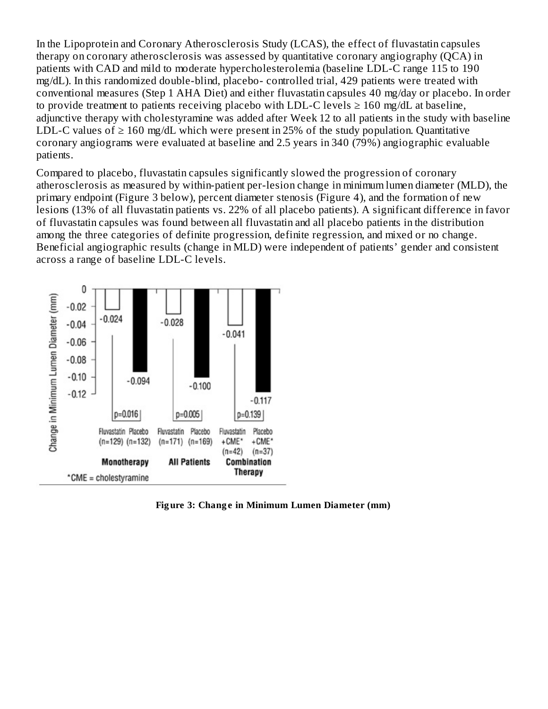In the Lipoprotein and Coronary Atherosclerosis Study (LCAS), the effect of fluvastatin capsules therapy on coronary atherosclerosis was assessed by quantitative coronary angiography (QCA) in patients with CAD and mild to moderate hypercholesterolemia (baseline LDL-C range 115 to 190 mg/dL). In this randomized double-blind, placebo- controlled trial, 429 patients were treated with conventional measures (Step 1 AHA Diet) and either fluvastatin capsules 40 mg/day or placebo. In order to provide treatment to patients receiving placebo with LDL-C levels  $\geq 160$  mg/dL at baseline, adjunctive therapy with cholestyramine was added after Week 12 to all patients in the study with baseline LDL-C values of  $\geq 160$  mg/dL which were present in 25% of the study population. Quantitative coronary angiograms were evaluated at baseline and 2.5 years in 340 (79%) angiographic evaluable patients.

Compared to placebo, fluvastatin capsules significantly slowed the progression of coronary atherosclerosis as measured by within-patient per-lesion change in minimum lumen diameter (MLD), the primary endpoint (Figure 3 below), percent diameter stenosis (Figure 4), and the formation of new lesions (13% of all fluvastatin patients vs. 22% of all placebo patients). A significant difference in favor of fluvastatin capsules was found between all fluvastatin and all placebo patients in the distribution among the three categories of definite progression, definite regression, and mixed or no change. Beneficial angiographic results (change in MLD) were independent of patients' gender and consistent across a range of baseline LDL-C levels.



**Fig ure 3: Chang e in Minimum Lumen Diameter (mm)**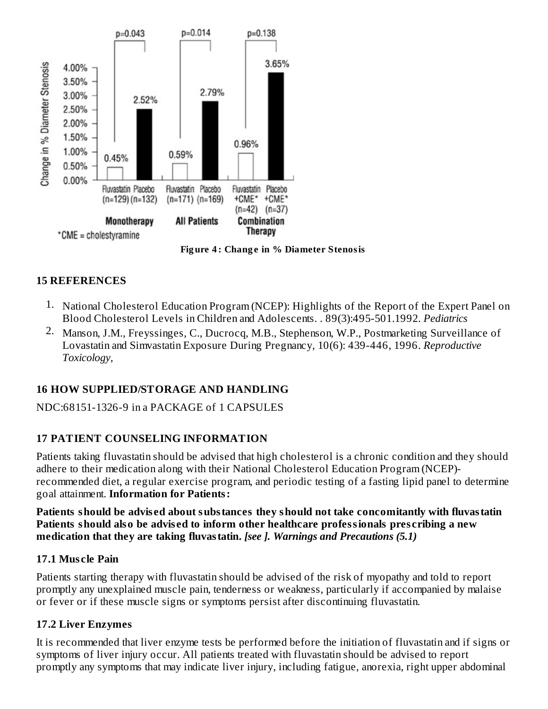

**Fig ure 4 : Chang e in % Diameter Stenosis**

### **15 REFERENCES**

- 1. National Cholesterol Education Program (NCEP): Highlights of the Report of the Expert Panel on Blood Cholesterol Levels in Children and Adolescents. . 89(3):495-501.1992. *Pediatrics*
- 2. Manson, J.M., Freyssinges, C., Ducrocq, M.B., Stephenson, W.P., Postmarketing Surveillance of Lovastatin and Simvastatin Exposure During Pregnancy, 10(6): 439-446, 1996. *Reproductive Toxicology,*

### **16 HOW SUPPLIED/STORAGE AND HANDLING**

NDC:68151-1326-9 in a PACKAGE of 1 CAPSULES

### **17 PATIENT COUNSELING INFORMATION**

Patients taking fluvastatin should be advised that high cholesterol is a chronic condition and they should adhere to their medication along with their National Cholesterol Education Program (NCEP) recommended diet, a regular exercise program, and periodic testing of a fasting lipid panel to determine goal attainment. **Information for Patients:**

**Patients should be advis ed about substances they should not take concomitantly with fluvastatin Patients should also be advis ed to inform other healthcare professionals pres cribing a new medication that they are taking fluvastatin.** *[see ]. Warnings and Precautions (5.1)*

### **17.1 Mus cle Pain**

Patients starting therapy with fluvastatin should be advised of the risk of myopathy and told to report promptly any unexplained muscle pain, tenderness or weakness, particularly if accompanied by malaise or fever or if these muscle signs or symptoms persist after discontinuing fluvastatin.

### **17.2 Liver Enzymes**

It is recommended that liver enzyme tests be performed before the initiation of fluvastatin and if signs or symptoms of liver injury occur. All patients treated with fluvastatin should be advised to report promptly any symptoms that may indicate liver injury, including fatigue, anorexia, right upper abdominal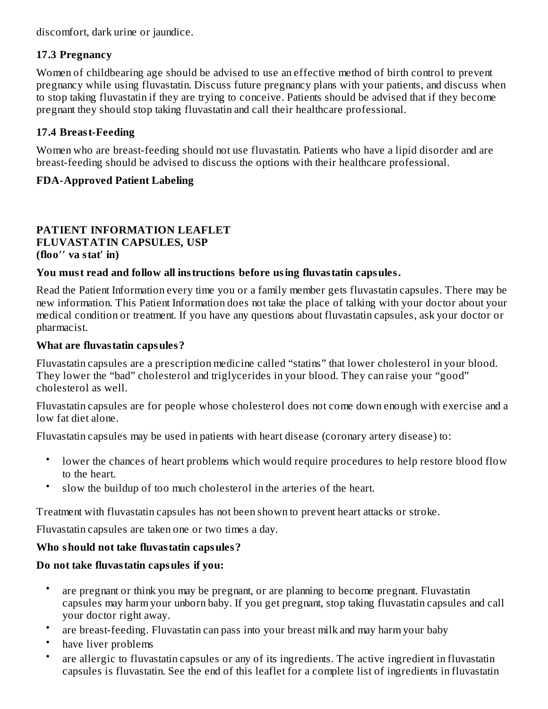discomfort, dark urine or jaundice.

# **17.3 Pregnancy**

Women of childbearing age should be advised to use an effective method of birth control to prevent pregnancy while using fluvastatin. Discuss future pregnancy plans with your patients, and discuss when to stop taking fluvastatin if they are trying to conceive. Patients should be advised that if they become pregnant they should stop taking fluvastatin and call their healthcare professional.

# **17.4 Breast-Feeding**

Women who are breast-feeding should not use fluvastatin. Patients who have a lipid disorder and are breast-feeding should be advised to discuss the options with their healthcare professional.

# **FDA-Approved Patient Labeling**

### **PATIENT INFORMATION LEAFLET FLUVASTATIN CAPSULES, USP (floo′′ va stat′ in)**

# **You must read and follow all instructions before using fluvastatin capsules.**

Read the Patient Information every time you or a family member gets fluvastatin capsules. There may be new information. This Patient Information does not take the place of talking with your doctor about your medical condition or treatment. If you have any questions about fluvastatin capsules, ask your doctor or pharmacist.

## **What are fluvastatin capsules?**

Fluvastatin capsules are a prescription medicine called "statins" that lower cholesterol in your blood. They lower the "bad" cholesterol and triglycerides in your blood. They can raise your "good" cholesterol as well.

Fluvastatin capsules are for people whose cholesterol does not come down enough with exercise and a low fat diet alone.

Fluvastatin capsules may be used in patients with heart disease (coronary artery disease) to:

- lower the chances of heart problems which would require procedures to help restore blood flow to the heart.
- slow the buildup of too much cholesterol in the arteries of the heart.

Treatment with fluvastatin capsules has not been shown to prevent heart attacks or stroke.

Fluvastatin capsules are taken one or two times a day.

# **Who should not take fluvastatin capsules?**

# **Do not take fluvastatin capsules if you:**

- are pregnant or think you may be pregnant, or are planning to become pregnant. Fluvastatin capsules may harm your unborn baby. If you get pregnant, stop taking fluvastatin capsules and call your doctor right away.
- are breast-feeding. Fluvastatin can pass into your breast milk and may harm your baby
- have liver problems
- are allergic to fluvastatin capsules or any of its ingredients. The active ingredient in fluvastatin capsules is fluvastatin. See the end of this leaflet for a complete list of ingredients in fluvastatin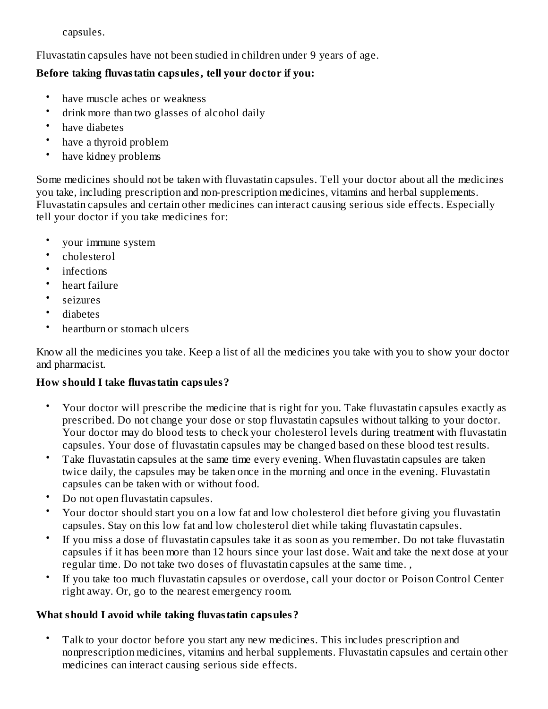capsules.

Fluvastatin capsules have not been studied in children under 9 years of age.

# **Before taking fluvastatin capsules, tell your doctor if you:**

- have muscle aches or weakness
- drink more than two glasses of alcohol daily
- have diabetes
- have a thyroid problem
- have kidney problems

Some medicines should not be taken with fluvastatin capsules. Tell your doctor about all the medicines you take, including prescription and non-prescription medicines, vitamins and herbal supplements. Fluvastatin capsules and certain other medicines can interact causing serious side effects. Especially tell your doctor if you take medicines for:

- your immune system
- cholesterol
- infections
- heart failure
- seizures
- diabetes
- heartburn or stomach ulcers

Know all the medicines you take. Keep a list of all the medicines you take with you to show your doctor and pharmacist.

# **How should I take fluvastatin capsules?**

- Your doctor will prescribe the medicine that is right for you. Take fluvastatin capsules exactly as prescribed. Do not change your dose or stop fluvastatin capsules without talking to your doctor. Your doctor may do blood tests to check your cholesterol levels during treatment with fluvastatin capsules. Your dose of fluvastatin capsules may be changed based on these blood test results.
- Take fluvastatin capsules at the same time every evening. When fluvastatin capsules are taken twice daily, the capsules may be taken once in the morning and once in the evening. Fluvastatin capsules can be taken with or without food.
- Do not open fluvastatin capsules.
- Your doctor should start you on a low fat and low cholesterol diet before giving you fluvastatin capsules. Stay on this low fat and low cholesterol diet while taking fluvastatin capsules.
- If you miss a dose of fluvastatin capsules take it as soon as you remember. Do not take fluvastatin capsules if it has been more than 12 hours since your last dose. Wait and take the next dose at your regular time. Do not take two doses of fluvastatin capsules at the same time. *,*
- If you take too much fluvastatin capsules or overdose, call your doctor or Poison Control Center right away. Or, go to the nearest emergency room.

# **What should I avoid while taking fluvastatin capsules?**

• Talk to your doctor before you start any new medicines. This includes prescription and nonprescription medicines, vitamins and herbal supplements. Fluvastatin capsules and certain other medicines can interact causing serious side effects.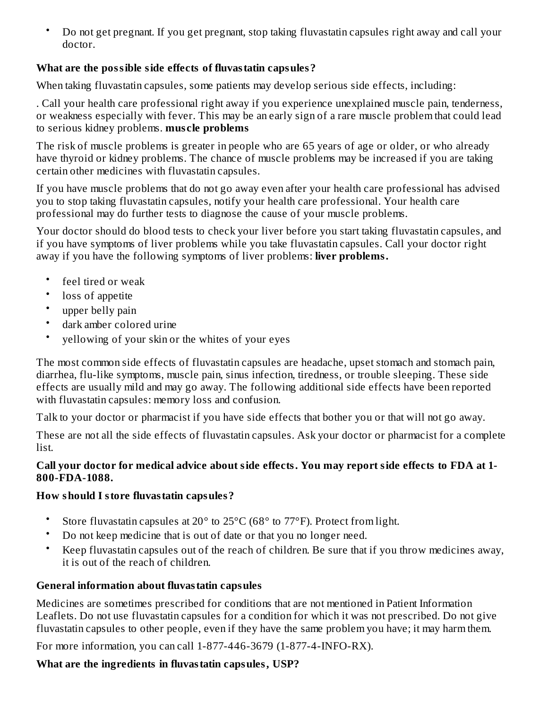• Do not get pregnant. If you get pregnant, stop taking fluvastatin capsules right away and call your doctor.

# **What are the possible side effects of fluvastatin capsules?**

When taking fluvastatin capsules, some patients may develop serious side effects, including:

. Call your health care professional right away if you experience unexplained muscle pain, tenderness, or weakness especially with fever. This may be an early sign of a rare muscle problem that could lead to serious kidney problems. **mus cle problems**

The risk of muscle problems is greater in people who are 65 years of age or older, or who already have thyroid or kidney problems. The chance of muscle problems may be increased if you are taking certain other medicines with fluvastatin capsules.

If you have muscle problems that do not go away even after your health care professional has advised you to stop taking fluvastatin capsules, notify your health care professional. Your health care professional may do further tests to diagnose the cause of your muscle problems.

Your doctor should do blood tests to check your liver before you start taking fluvastatin capsules, and if you have symptoms of liver problems while you take fluvastatin capsules. Call your doctor right away if you have the following symptoms of liver problems: **liver problems.**

- feel tired or weak
- loss of appetite
- upper belly pain
- dark amber colored urine
- yellowing of your skin or the whites of your eyes

The most common side effects of fluvastatin capsules are headache, upset stomach and stomach pain, diarrhea, flu-like symptoms, muscle pain, sinus infection, tiredness, or trouble sleeping. These side effects are usually mild and may go away. The following additional side effects have been reported with fluvastatin capsules: memory loss and confusion.

Talk to your doctor or pharmacist if you have side effects that bother you or that will not go away.

These are not all the side effects of fluvastatin capsules. Ask your doctor or pharmacist for a complete list.

### **Call your doctor for medical advice about side effects. You may report side effects to FDA at 1- 800-FDA-1088.**

### **How should I store fluvastatin capsules?**

- Store fluvastatin capsules at 20° to 25°C (68° to 77°F). Protect from light.
- Do not keep medicine that is out of date or that you no longer need.
- Keep fluvastatin capsules out of the reach of children. Be sure that if you throw medicines away, it is out of the reach of children.

# **General information about fluvastatin capsules**

Medicines are sometimes prescribed for conditions that are not mentioned in Patient Information Leaflets. Do not use fluvastatin capsules for a condition for which it was not prescribed. Do not give fluvastatin capsules to other people, even if they have the same problem you have; it may harm them.

For more information, you can call 1-877-446-3679 (1-877-4-INFO-RX).

# **What are the ingredients in fluvastatin capsules, USP?**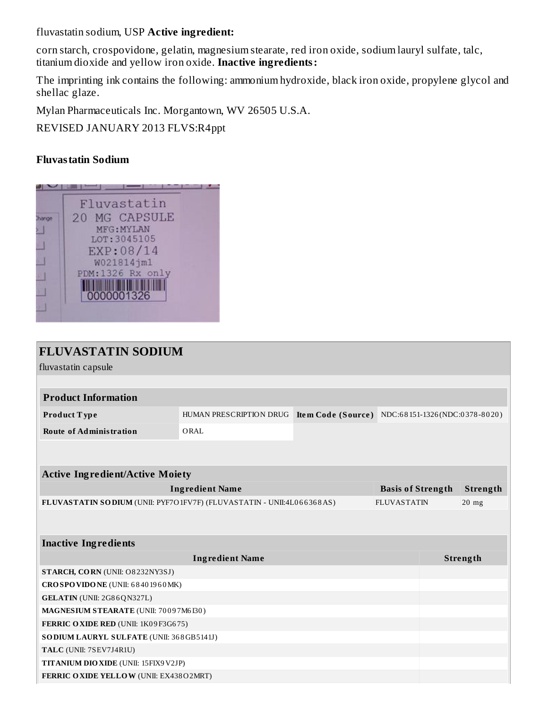fluvastatin sodium, USP **Active ingredient:**

corn starch, crospovidone, gelatin, magnesium stearate, red iron oxide, sodium lauryl sulfate, talc, titanium dioxide and yellow iron oxide. **Inactive ingredients:**

The imprinting ink contains the following: ammonium hydroxide, black iron oxide, propylene glycol and shellac glaze.

Mylan Pharmaceuticals Inc. Morgantown, WV 26505 U.S.A.

REVISED JANUARY 2013 FLVS:R4ppt

### **Fluvastatin Sodium**



| <b>FLUVASTATIN SODIUM</b>                                             |                         |                                                  |                          |          |
|-----------------------------------------------------------------------|-------------------------|--------------------------------------------------|--------------------------|----------|
| fluvastatin capsule                                                   |                         |                                                  |                          |          |
|                                                                       |                         |                                                  |                          |          |
| <b>Product Information</b>                                            |                         |                                                  |                          |          |
| Product Type                                                          | HUMAN PRESCRIPTION DRUG | Item Code (Source) NDC:68151-1326(NDC:0378-8020) |                          |          |
| <b>Route of Administration</b>                                        | ORAL                    |                                                  |                          |          |
|                                                                       |                         |                                                  |                          |          |
|                                                                       |                         |                                                  |                          |          |
| <b>Active Ingredient/Active Moiety</b>                                |                         |                                                  |                          |          |
|                                                                       | <b>Ingredient Name</b>  |                                                  | <b>Basis of Strength</b> | Strength |
| FLUVASTATIN SODIUM (UNII: PYF7O1FV7F) (FLUVASTATIN - UNII:4L066368AS) |                         |                                                  | <b>FLUVASTATIN</b>       | $20$ mg  |
|                                                                       |                         |                                                  |                          |          |
|                                                                       |                         |                                                  |                          |          |
| <b>Inactive Ingredients</b>                                           |                         |                                                  |                          |          |
|                                                                       | <b>Ingredient Name</b>  |                                                  |                          | Strength |
| STARCH, CORN (UNII: O8232NY3SJ)                                       |                         |                                                  |                          |          |
| CROSPOVIDONE (UNII: 68401960MK)                                       |                         |                                                  |                          |          |
| GELATIN (UNII: 2G86QN327L)                                            |                         |                                                  |                          |          |
| MAGNESIUM STEARATE (UNII: 70097M6I30)                                 |                         |                                                  |                          |          |
| FERRIC OXIDE RED (UNII: 1K09F3G675)                                   |                         |                                                  |                          |          |
| SO DIUM LAURYL SULFATE (UNII: 368GB5141J)                             |                         |                                                  |                          |          |
| TALC (UNII: 7SEV7J4R1U)                                               |                         |                                                  |                          |          |
| TITANIUM DIO XIDE (UNII: 15FIX9V2JP)                                  |                         |                                                  |                          |          |
|                                                                       |                         |                                                  |                          |          |